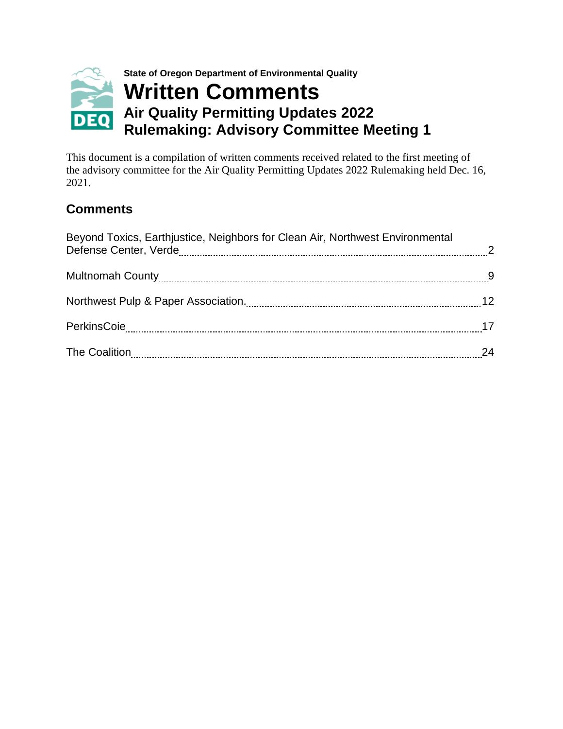

This document is a compilation of written comments received related to the first meeting of the advisory committee for the Air Quality Permitting Updates 2022 Rulemaking held Dec. 16, 2021.

# **Comments**

| Beyond Toxics, Earthjustice, Neighbors for Clean Air, Northwest Environmental | 24 |
|-------------------------------------------------------------------------------|----|
|-------------------------------------------------------------------------------|----|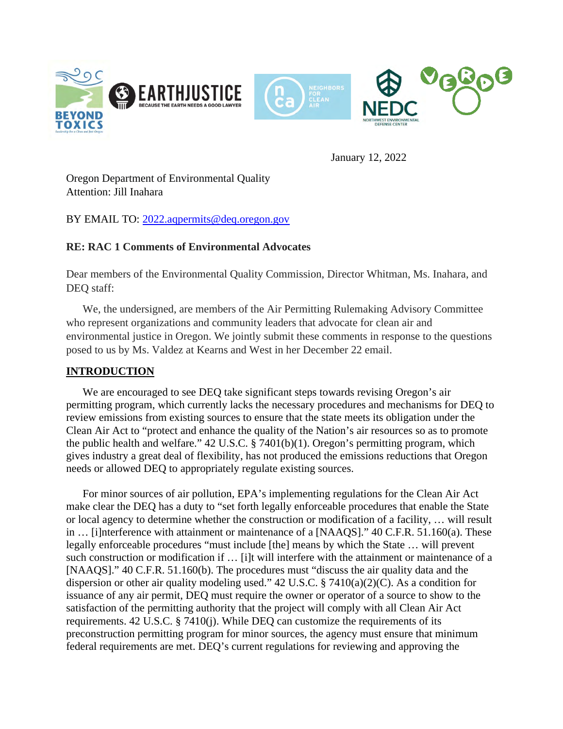<span id="page-1-0"></span>

January 12, 2022

Oregon Department of Environmental Quality Attention: Jill Inahara

BY EMAIL TO: [2022.aqpermits@deq.oregon.gov](mailto:2022.aqpermits@deq.oregon.gov)

# **RE: RAC 1 Comments of Environmental Advocates**

Dear members of the Environmental Quality Commission, Director Whitman, Ms. Inahara, and DEQ staff:

 We, the undersigned, are members of the Air Permitting Rulemaking Advisory Committee who represent organizations and community leaders that advocate for clean air and environmental justice in Oregon. We jointly submit these comments in response to the questions posed to us by Ms. Valdez at Kearns and West in her December 22 email.

# **INTRODUCTION**

We are encouraged to see DEQ take significant steps towards revising Oregon's air permitting program, which currently lacks the necessary procedures and mechanisms for DEQ to review emissions from existing sources to ensure that the state meets its obligation under the Clean Air Act to "protect and enhance the quality of the Nation's air resources so as to promote the public health and welfare." 42 U.S.C. § 7401(b)(1). Oregon's permitting program, which gives industry a great deal of flexibility, has not produced the emissions reductions that Oregon needs or allowed DEQ to appropriately regulate existing sources.

For minor sources of air pollution, EPA's implementing regulations for the Clean Air Act make clear the DEQ has a duty to "set forth legally enforceable procedures that enable the State or local agency to determine whether the construction or modification of a facility, … will result in … [i]nterference with attainment or maintenance of a [NAAQS]." 40 C.F.R. 51.160(a). These legally enforceable procedures "must include [the] means by which the State … will prevent such construction or modification if … [i]t will interfere with the attainment or maintenance of a [NAAQS]." 40 C.F.R. 51.160(b). The procedures must "discuss the air quality data and the dispersion or other air quality modeling used." 42 U.S.C. § 7410(a)(2)(C). As a condition for issuance of any air permit, DEQ must require the owner or operator of a source to show to the satisfaction of the permitting authority that the project will comply with all Clean Air Act requirements. 42 U.S.C. § 7410(j). While DEQ can customize the requirements of its preconstruction permitting program for minor sources, the agency must ensure that minimum federal requirements are met. DEQ's current regulations for reviewing and approving the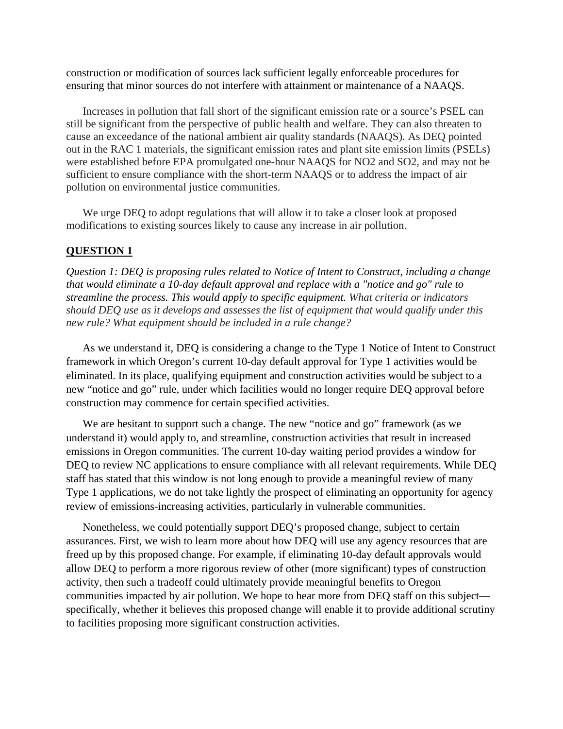construction or modification of sources lack sufficient legally enforceable procedures for ensuring that minor sources do not interfere with attainment or maintenance of a NAAQS.

Increases in pollution that fall short of the significant emission rate or a source's PSEL can still be significant from the perspective of public health and welfare. They can also threaten to cause an exceedance of the national ambient air quality standards (NAAQS). As DEQ pointed out in the RAC 1 materials, the significant emission rates and plant site emission limits (PSELs) were established before EPA promulgated one-hour NAAQS for NO2 and SO2, and may not be sufficient to ensure compliance with the short-term NAAQS or to address the impact of air pollution on environmental justice communities.

We urge DEQ to adopt regulations that will allow it to take a closer look at proposed modifications to existing sources likely to cause any increase in air pollution.

#### **QUESTION 1**

*Question 1: DEQ is proposing rules related to Notice of Intent to Construct, including a change that would eliminate a 10-day default approval and replace with a "notice and go" rule to streamline the process. This would apply to specific equipment. What criteria or indicators should DEQ use as it develops and assesses the list of equipment that would qualify under this new rule? What equipment should be included in a rule change?* 

 As we understand it, DEQ is considering a change to the Type 1 Notice of Intent to Construct framework in which Oregon's current 10-day default approval for Type 1 activities would be eliminated. In its place, qualifying equipment and construction activities would be subject to a new "notice and go" rule, under which facilities would no longer require DEQ approval before construction may commence for certain specified activities.

 We are hesitant to support such a change. The new "notice and go" framework (as we understand it) would apply to, and streamline, construction activities that result in increased emissions in Oregon communities. The current 10-day waiting period provides a window for DEQ to review NC applications to ensure compliance with all relevant requirements. While DEQ staff has stated that this window is not long enough to provide a meaningful review of many Type 1 applications, we do not take lightly the prospect of eliminating an opportunity for agency review of emissions-increasing activities, particularly in vulnerable communities.

 Nonetheless, we could potentially support DEQ's proposed change, subject to certain assurances. First, we wish to learn more about how DEQ will use any agency resources that are freed up by this proposed change. For example, if eliminating 10-day default approvals would allow DEQ to perform a more rigorous review of other (more significant) types of construction activity, then such a tradeoff could ultimately provide meaningful benefits to Oregon communities impacted by air pollution. We hope to hear more from DEQ staff on this subject specifically, whether it believes this proposed change will enable it to provide additional scrutiny to facilities proposing more significant construction activities.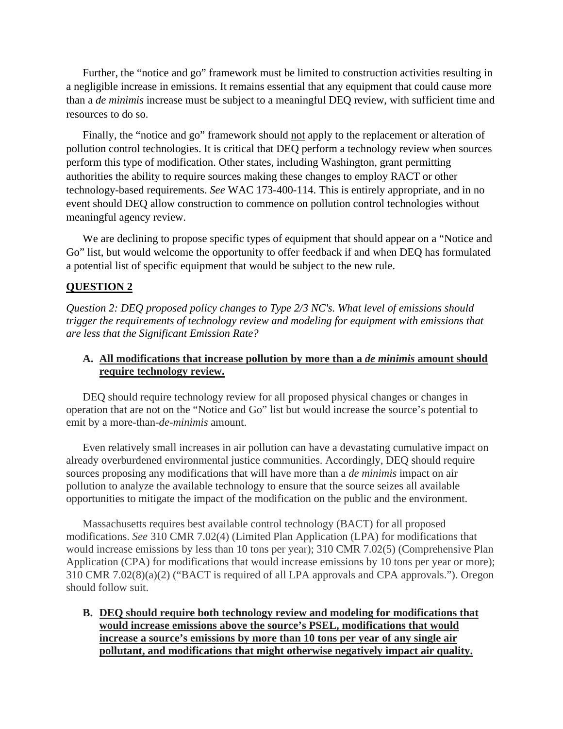Further, the "notice and go" framework must be limited to construction activities resulting in a negligible increase in emissions. It remains essential that any equipment that could cause more than a *de minimis* increase must be subject to a meaningful DEQ review, with sufficient time and resources to do so.

Finally, the "notice and go" framework should not apply to the replacement or alteration of pollution control technologies. It is critical that DEQ perform a technology review when sources perform this type of modification. Other states, including Washington, grant permitting authorities the ability to require sources making these changes to employ RACT or other technology-based requirements. *See* WAC 173-400-114. This is entirely appropriate, and in no event should DEQ allow construction to commence on pollution control technologies without meaningful agency review.

 We are declining to propose specific types of equipment that should appear on a "Notice and Go" list, but would welcome the opportunity to offer feedback if and when DEQ has formulated a potential list of specific equipment that would be subject to the new rule.

#### **QUESTION 2**

*Question 2: DEQ proposed policy changes to Type 2/3 NC's. What level of emissions should trigger the requirements of technology review and modeling for equipment with emissions that are less that the Significant Emission Rate?*

#### **A. All modifications that increase pollution by more than a** *de minimis* **amount should require technology review.**

DEQ should require technology review for all proposed physical changes or changes in operation that are not on the "Notice and Go" list but would increase the source's potential to emit by a more-than-*de-minimis* amount.

Even relatively small increases in air pollution can have a devastating cumulative impact on already overburdened environmental justice communities. Accordingly, DEQ should require sources proposing any modifications that will have more than a *de minimis* impact on air pollution to analyze the available technology to ensure that the source seizes all available opportunities to mitigate the impact of the modification on the public and the environment.

Massachusetts requires best available control technology (BACT) for all proposed modifications. *See* 310 CMR 7.02(4) (Limited Plan Application (LPA) for modifications that would increase emissions by less than 10 tons per year); 310 CMR 7.02(5) (Comprehensive Plan Application (CPA) for modifications that would increase emissions by 10 tons per year or more); 310 CMR 7.02(8)(a)(2) ("BACT is required of all LPA approvals and CPA approvals."). Oregon should follow suit.

**B. DEQ should require both technology review and modeling for modifications that would increase emissions above the source's PSEL, modifications that would increase a source's emissions by more than 10 tons per year of any single air pollutant, and modifications that might otherwise negatively impact air quality.**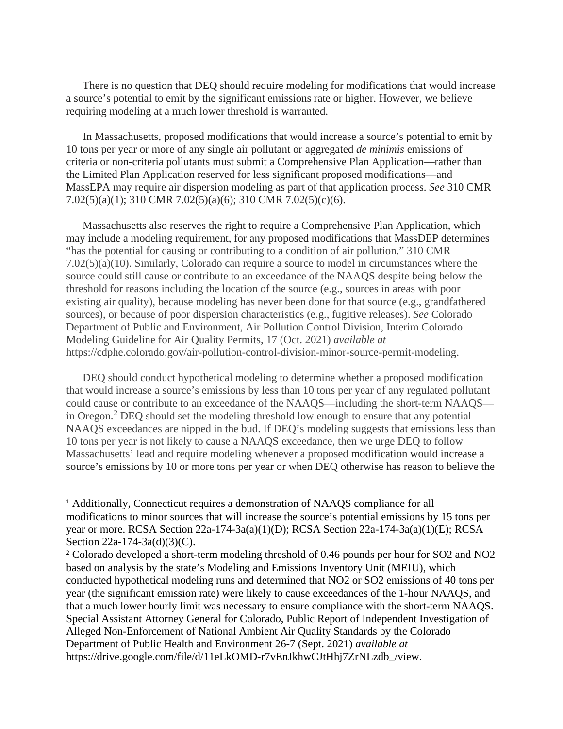There is no question that DEQ should require modeling for modifications that would increase a source's potential to emit by the significant emissions rate or higher. However, we believe requiring modeling at a much lower threshold is warranted.

In Massachusetts, proposed modifications that would increase a source's potential to emit by 10 tons per year or more of any single air pollutant or aggregated *de minimis* emissions of criteria or non-criteria pollutants must submit a Comprehensive Plan Application—rather than the Limited Plan Application reserved for less significant proposed modifications—and MassEPA may require air dispersion modeling as part of that application process. *See* 310 CMR 7.02(5)(a)([1](#page-4-0)); 310 CMR 7.02(5)(a)(6); 310 CMR 7.02(5)(c)(6).<sup>1</sup>

Massachusetts also reserves the right to require a Comprehensive Plan Application, which may include a modeling requirement, for any proposed modifications that MassDEP determines "has the potential for causing or contributing to a condition of air pollution." 310 CMR 7.02(5)(a)(10). Similarly, Colorado can require a source to model in circumstances where the source could still cause or contribute to an exceedance of the NAAQS despite being below the threshold for reasons including the location of the source (e.g., sources in areas with poor existing air quality), because modeling has never been done for that source (e.g., grandfathered sources), or because of poor dispersion characteristics (e.g., fugitive releases). *See* Colorado Department of Public and Environment, Air Pollution Control Division, Interim Colorado Modeling Guideline for Air Quality Permits, 17 (Oct. 2021) *available at* https://cdphe.colorado.gov/air-pollution-control-division-minor-source-permit-modeling.

DEQ should conduct hypothetical modeling to determine whether a proposed modification that would increase a source's emissions by less than 10 tons per year of any regulated pollutant could cause or contribute to an exceedance of the NAAQS—including the short-term NAAQS— in Oregon.<sup>[2](#page-4-1)</sup> DEQ should set the modeling threshold low enough to ensure that any potential NAAQS exceedances are nipped in the bud. If DEQ's modeling suggests that emissions less than 10 tons per year is not likely to cause a NAAQS exceedance, then we urge DEQ to follow Massachusetts' lead and require modeling whenever a proposed modification would increase a source's emissions by 10 or more tons per year or when DEQ otherwise has reason to believe the

<span id="page-4-0"></span><sup>&</sup>lt;sup>1</sup> Additionally, Connecticut requires a demonstration of NAAQS compliance for all modifications to minor sources that will increase the source's potential emissions by 15 tons per year or more. RCSA Section 22a-174-3a(a)(1)(D); RCSA Section 22a-174-3a(a)(1)(E); RCSA Section 22a-174-3a(d)(3)(C).

<span id="page-4-1"></span><sup>&</sup>lt;sup>2</sup> Colorado developed a short-term modeling threshold of 0.46 pounds per hour for SO2 and NO2 based on analysis by the state's Modeling and Emissions Inventory Unit (MEIU), which conducted hypothetical modeling runs and determined that NO2 or SO2 emissions of 40 tons per year (the significant emission rate) were likely to cause exceedances of the 1-hour NAAQS, and that a much lower hourly limit was necessary to ensure compliance with the short-term NAAQS. Special Assistant Attorney General for Colorado, Public Report of Independent Investigation of Alleged Non-Enforcement of National Ambient Air Quality Standards by the Colorado Department of Public Health and Environment 26-7 (Sept. 2021) *available at* https://drive.google.com/file/d/11eLkOMD-r7vEnJkhwCJtHhj7ZrNLzdb\_/view.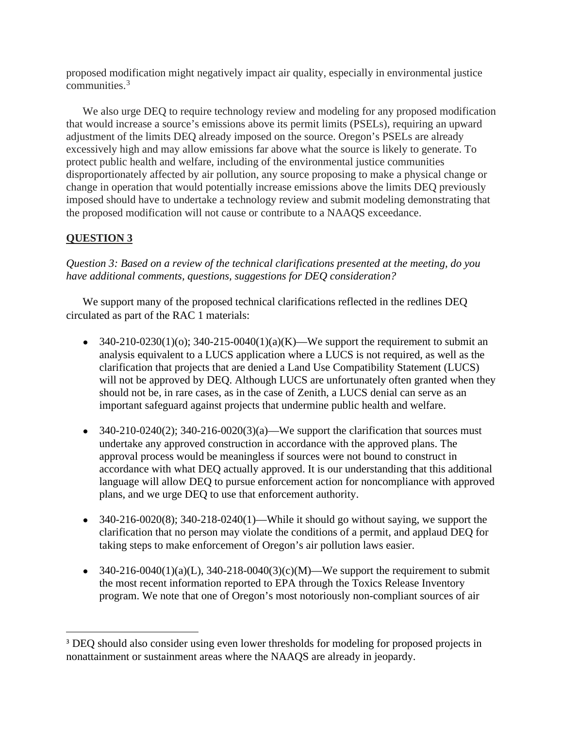proposed modification might negatively impact air quality, especially in environmental justice communities.[3](#page-5-0)

We also urge DEQ to require technology review and modeling for any proposed modification that would increase a source's emissions above its permit limits (PSELs), requiring an upward adjustment of the limits DEQ already imposed on the source. Oregon's PSELs are already excessively high and may allow emissions far above what the source is likely to generate. To protect public health and welfare, including of the environmental justice communities disproportionately affected by air pollution, any source proposing to make a physical change or change in operation that would potentially increase emissions above the limits DEQ previously imposed should have to undertake a technology review and submit modeling demonstrating that the proposed modification will not cause or contribute to a NAAQS exceedance.

# **QUESTION 3**

*Question 3: Based on a review of the technical clarifications presented at the meeting, do you have additional comments, questions, suggestions for DEQ consideration?* 

We support many of the proposed technical clarifications reflected in the redlines DEQ circulated as part of the RAC 1 materials:

- 340-210-0230(1)(o); 340-215-0040(1)(a)(K)—We support the requirement to submit an analysis equivalent to a LUCS application where a LUCS is not required, as well as the clarification that projects that are denied a Land Use Compatibility Statement (LUCS) will not be approved by DEQ. Although LUCS are unfortunately often granted when they should not be, in rare cases, as in the case of Zenith, a LUCS denial can serve as an important safeguard against projects that undermine public health and welfare.
- $\bullet$  340-210-0240(2); 340-216-0020(3)(a)—We support the clarification that sources must undertake any approved construction in accordance with the approved plans. The approval process would be meaningless if sources were not bound to construct in accordance with what DEQ actually approved. It is our understanding that this additional language will allow DEQ to pursue enforcement action for noncompliance with approved plans, and we urge DEQ to use that enforcement authority.
- $\bullet$  340-216-0020(8); 340-218-0240(1)—While it should go without saying, we support the clarification that no person may violate the conditions of a permit, and applaud DEQ for taking steps to make enforcement of Oregon's air pollution laws easier.
- 340-216-0040(1)(a)(L), 340-218-0040(3)(c)(M)—We support the requirement to submit the most recent information reported to EPA through the Toxics Release Inventory program. We note that one of Oregon's most notoriously non-compliant sources of air

<span id="page-5-0"></span><sup>&</sup>lt;sup>3</sup> DEQ should also consider using even lower thresholds for modeling for proposed projects in nonattainment or sustainment areas where the NAAQS are already in jeopardy.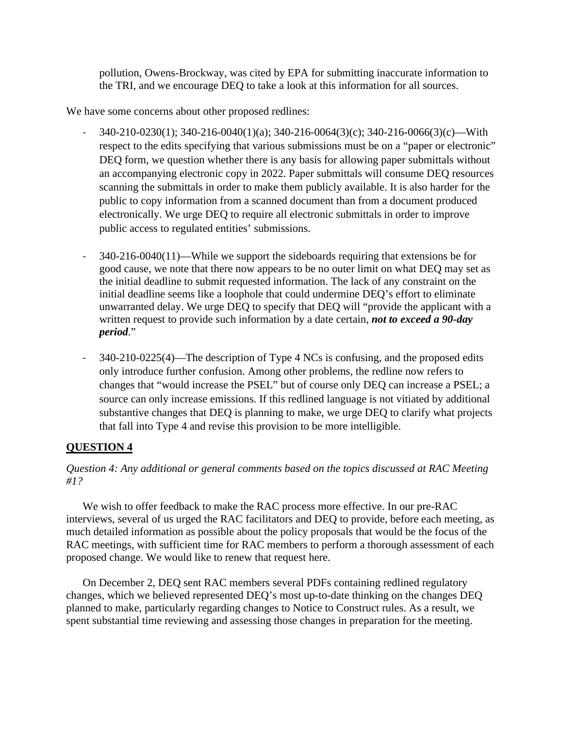pollution, Owens-Brockway, was cited by EPA for submitting inaccurate information to the TRI, and we encourage DEQ to take a look at this information for all sources.

We have some concerns about other proposed redlines:

- 340-210-0230(1); 340-216-0040(1)(a); 340-216-0064(3)(c); 340-216-0066(3)(c)—With respect to the edits specifying that various submissions must be on a "paper or electronic" DEQ form, we question whether there is any basis for allowing paper submittals without an accompanying electronic copy in 2022. Paper submittals will consume DEQ resources scanning the submittals in order to make them publicly available. It is also harder for the public to copy information from a scanned document than from a document produced electronically. We urge DEQ to require all electronic submittals in order to improve public access to regulated entities' submissions.
- 340-216-0040(11)—While we support the sideboards requiring that extensions be for good cause, we note that there now appears to be no outer limit on what DEQ may set as the initial deadline to submit requested information. The lack of any constraint on the initial deadline seems like a loophole that could undermine DEQ's effort to eliminate unwarranted delay. We urge DEQ to specify that DEQ will "provide the applicant with a written request to provide such information by a date certain, *not to exceed a 90-day period*."
- 340-210-0225(4)—The description of Type 4 NCs is confusing, and the proposed edits only introduce further confusion. Among other problems, the redline now refers to changes that "would increase the PSEL" but of course only DEQ can increase a PSEL; a source can only increase emissions. If this redlined language is not vitiated by additional substantive changes that DEQ is planning to make, we urge DEQ to clarify what projects that fall into Type 4 and revise this provision to be more intelligible.

# **QUESTION 4**

# *Question 4: Any additional or general comments based on the topics discussed at RAC Meeting #1?*

We wish to offer feedback to make the RAC process more effective. In our pre-RAC interviews, several of us urged the RAC facilitators and DEQ to provide, before each meeting, as much detailed information as possible about the policy proposals that would be the focus of the RAC meetings, with sufficient time for RAC members to perform a thorough assessment of each proposed change. We would like to renew that request here.

On December 2, DEQ sent RAC members several PDFs containing redlined regulatory changes, which we believed represented DEQ's most up-to-date thinking on the changes DEQ planned to make, particularly regarding changes to Notice to Construct rules. As a result, we spent substantial time reviewing and assessing those changes in preparation for the meeting.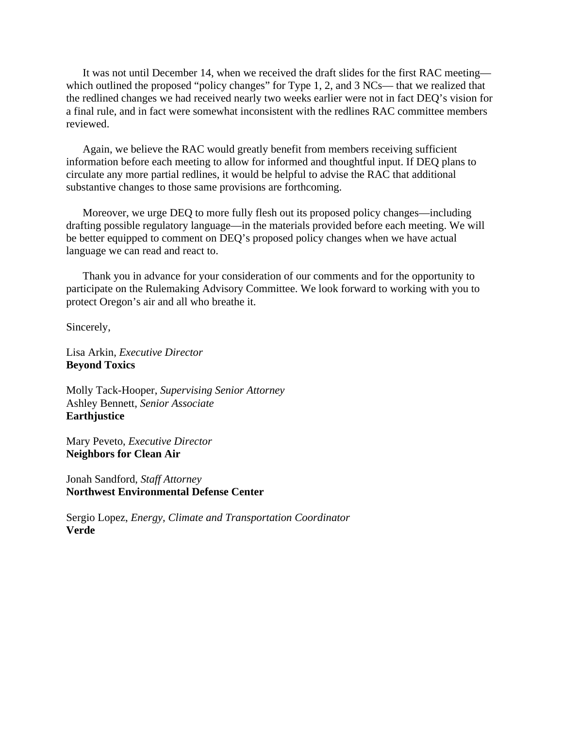It was not until December 14, when we received the draft slides for the first RAC meeting which outlined the proposed "policy changes" for Type 1, 2, and 3 NCs— that we realized that the redlined changes we had received nearly two weeks earlier were not in fact DEQ's vision for a final rule, and in fact were somewhat inconsistent with the redlines RAC committee members reviewed.

Again, we believe the RAC would greatly benefit from members receiving sufficient information before each meeting to allow for informed and thoughtful input. If DEQ plans to circulate any more partial redlines, it would be helpful to advise the RAC that additional substantive changes to those same provisions are forthcoming.

 Moreover, we urge DEQ to more fully flesh out its proposed policy changes—including drafting possible regulatory language—in the materials provided before each meeting. We will be better equipped to comment on DEQ's proposed policy changes when we have actual language we can read and react to.

 Thank you in advance for your consideration of our comments and for the opportunity to participate on the Rulemaking Advisory Committee. We look forward to working with you to protect Oregon's air and all who breathe it.

Sincerely,

Lisa Arkin, *Executive Director* **Beyond Toxics** 

Molly Tack-Hooper, *Supervising Senior Attorney*  Ashley Bennett, *Senior Associate* **Earthjustice**

Mary Peveto, *Executive Director* **Neighbors for Clean Air**

Jonah Sandford, *Staff Attorney*  **Northwest Environmental Defense Center**

Sergio Lopez, *Energy, Climate and Transportation Coordinator*  **Verde**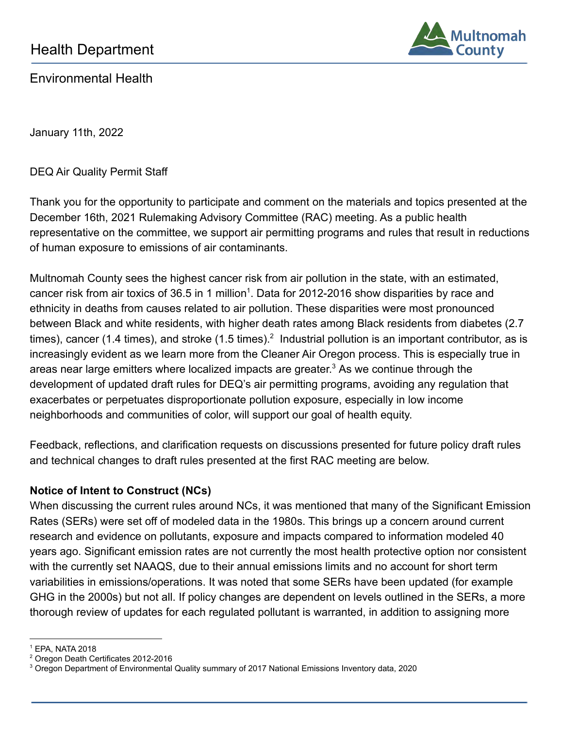

<span id="page-8-0"></span>Environmental Health

January 11th, 2022

DEQ Air Quality Permit Staff

Thank you for the opportunity to participate and comment on the materials and topics presented at the December 16th, 2021 Rulemaking Advisory Committee (RAC) meeting. As a public health representative on the committee, we support air permitting programs and rules that result in reductions of human exposure to emissions of air contaminants.

Multnomah County sees the highest cancer risk from air pollution in the state, with an estimated, cancer risk from air toxics of 36.5 in 1 million<sup>1</sup>. Data for 2012-2016 show disparities by race and ethnicity in deaths from causes related to air pollution. These disparities were most pronounced between Black and white residents, with higher death rates among Black residents from diabetes (2.7 times), cancer (1.4 times), and stroke (1.5 times).<sup>2</sup> Industrial pollution is an important contributor, as is increasingly evident as we learn more from the Cleaner Air Oregon process. This is especially true in areas near large emitters where localized impacts are greater.<sup>3</sup> As we continue through the development of updated draft rules for DEQ's air permitting programs, avoiding any regulation that exacerbates or perpetuates disproportionate pollution exposure, especially in low income neighborhoods and communities of color, will support our goal of health equity.

Feedback, reflections, and clarification requests on discussions presented for future policy draft rules and technical changes to draft rules presented at the first RAC meeting are below.

# **Notice of Intent to Construct (NCs)**

When discussing the current rules around NCs, it was mentioned that many of the Significant Emission Rates (SERs) were set off of modeled data in the 1980s. This brings up a concern around current research and evidence on pollutants, exposure and impacts compared to information modeled 40 years ago. Significant emission rates are not currently the most health protective option nor consistent with the currently set NAAQS, due to their annual emissions limits and no account for short term variabilities in emissions/operations. It was noted that some SERs have been updated (for example GHG in the 2000s) but not all. If policy changes are dependent on levels outlined in the SERs, a more thorough review of updates for each regulated pollutant is warranted, in addition to assigning more

<sup>1</sup> EPA, NATA 2018

<sup>2</sup> Oregon Death Certificates 2012-2016

<sup>&</sup>lt;sup>3</sup> Oregon Department of Environmental Quality summary of 2017 National Emissions Inventory data, 2020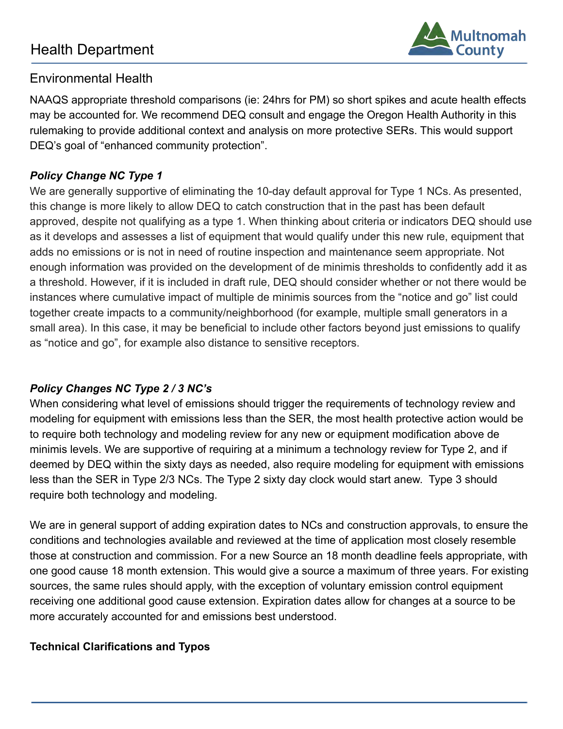# Health Department



# Environmental Health

NAAQS appropriate threshold comparisons (ie: 24hrs for PM) so short spikes and acute health effects may be accounted for. We recommend DEQ consult and engage the Oregon Health Authority in this rulemaking to provide additional context and analysis on more protective SERs. This would support DEQ's goal of "enhanced community protection".

# *Policy Change NC Type 1*

We are generally supportive of eliminating the 10-day default approval for Type 1 NCs. As presented, this change is more likely to allow DEQ to catch construction that in the past has been default approved, despite not qualifying as a type 1. When thinking about criteria or indicators DEQ should use as it develops and assesses a list of equipment that would qualify under this new rule, equipment that adds no emissions or is not in need of routine inspection and maintenance seem appropriate. Not enough information was provided on the development of de minimis thresholds to confidently add it as a threshold. However, if it is included in draft rule, DEQ should consider whether or not there would be instances where cumulative impact of multiple de minimis sources from the "notice and go" list could together create impacts to a community/neighborhood (for example, multiple small generators in a small area). In this case, it may be beneficial to include other factors beyond just emissions to qualify as "notice and go", for example also distance to sensitive receptors.

# *Policy Changes NC Type 2 / 3 NC's*

When considering what level of emissions should trigger the requirements of technology review and modeling for equipment with emissions less than the SER, the most health protective action would be to require both technology and modeling review for any new or equipment modification above de minimis levels. We are supportive of requiring at a minimum a technology review for Type 2, and if deemed by DEQ within the sixty days as needed, also require modeling for equipment with emissions less than the SER in Type 2/3 NCs. The Type 2 sixty day clock would start anew. Type 3 should require both technology and modeling.

We are in general support of adding expiration dates to NCs and construction approvals, to ensure the conditions and technologies available and reviewed at the time of application most closely resemble those at construction and commission. For a new Source an 18 month deadline feels appropriate, with one good cause 18 month extension. This would give a source a maximum of three years. For existing sources, the same rules should apply, with the exception of voluntary emission control equipment receiving one additional good cause extension. Expiration dates allow for changes at a source to be more accurately accounted for and emissions best understood.

# **Technical Clarifications and Typos**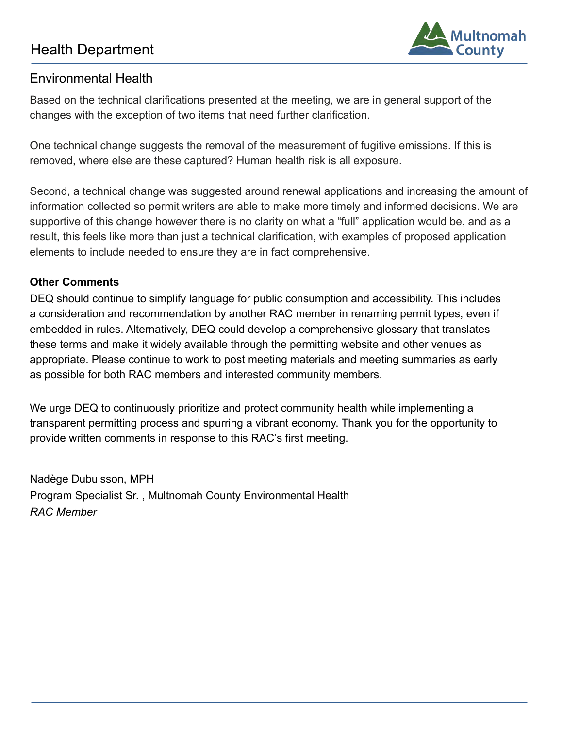# Health Department



# Environmental Health

Based on the technical clarifications presented at the meeting, we are in general support of the changes with the exception of two items that need further clarification.

One technical change suggests the removal of the measurement of fugitive emissions. If this is removed, where else are these captured? Human health risk is all exposure.

Second, a technical change was suggested around renewal applications and increasing the amount of information collected so permit writers are able to make more timely and informed decisions. We are supportive of this change however there is no clarity on what a "full" application would be, and as a result, this feels like more than just a technical clarification, with examples of proposed application elements to include needed to ensure they are in fact comprehensive.

# **Other Comments**

DEQ should continue to simplify language for public consumption and accessibility. This includes a consideration and recommendation by another RAC member in renaming permit types, even if embedded in rules. Alternatively, DEQ could develop a comprehensive glossary that translates these terms and make it widely available through the permitting website and other venues as appropriate. Please continue to work to post meeting materials and meeting summaries as early as possible for both RAC members and interested community members.

We urge DEQ to continuously prioritize and protect community health while implementing a transparent permitting process and spurring a vibrant economy. Thank you for the opportunity to provide written comments in response to this RAC's first meeting.

Nadège Dubuisson, MPH Program Specialist Sr. , Multnomah County Environmental Health *RAC Member*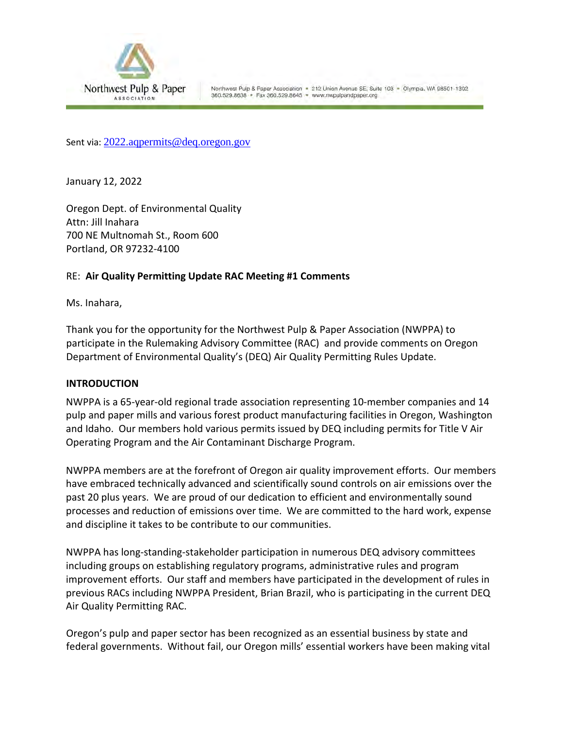<span id="page-11-0"></span>

Northwest Pulp & Paper Association · 212 Union Avenue SE, Suite 103 · Olympia, WA 98501-1302 360.529.8638 · Fax 360.529.8645 · www.nwpulpandpaper.org

Sent via: [2022.aqpermits@deq.oregon.gov](mailto:2022.aqpermits@deq.oregon.gov)

January 12, 2022

Oregon Dept. of Environmental Quality Attn: Jill Inahara 700 NE Multnomah St., Room 600 Portland, OR 97232-4100

#### RE: **Air Quality Permitting Update RAC Meeting #1 Comments**

Ms. Inahara,

Thank you for the opportunity for the Northwest Pulp & Paper Association (NWPPA) to participate in the Rulemaking Advisory Committee (RAC) and provide comments on Oregon Department of Environmental Quality's (DEQ) Air Quality Permitting Rules Update.

#### **INTRODUCTION**

NWPPA is a 65-year-old regional trade association representing 10-member companies and 14 pulp and paper mills and various forest product manufacturing facilities in Oregon, Washington and Idaho. Our members hold various permits issued by DEQ including permits for Title V Air Operating Program and the Air Contaminant Discharge Program.

NWPPA members are at the forefront of Oregon air quality improvement efforts. Our members have embraced technically advanced and scientifically sound controls on air emissions over the past 20 plus years. We are proud of our dedication to efficient and environmentally sound processes and reduction of emissions over time. We are committed to the hard work, expense and discipline it takes to be contribute to our communities.

NWPPA has long-standing-stakeholder participation in numerous DEQ advisory committees including groups on establishing regulatory programs, administrative rules and program improvement efforts. Our staff and members have participated in the development of rules in previous RACs including NWPPA President, Brian Brazil, who is participating in the current DEQ Air Quality Permitting RAC.

Oregon's pulp and paper sector has been recognized as an essential business by state and federal governments. Without fail, our Oregon mills' essential workers have been making vital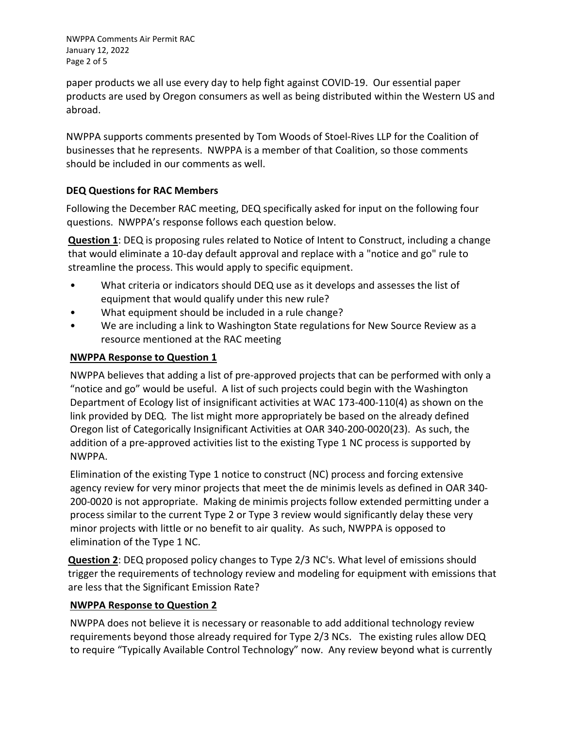NWPPA Comments Air Permit RAC January 12, 2022 Page 2 of 5

paper products we all use every day to help fight against COVID-19. Our essential paper products are used by Oregon consumers as well as being distributed within the Western US and abroad.

NWPPA supports comments presented by Tom Woods of Stoel-Rives LLP for the Coalition of businesses that he represents. NWPPA is a member of that Coalition, so those comments should be included in our comments as well.

# **DEQ Questions for RAC Members**

Following the December RAC meeting, DEQ specifically asked for input on the following four questions. NWPPA's response follows each question below.

**Question 1**: DEQ is proposing rules related to Notice of Intent to Construct, including a change that would eliminate a 10-day default approval and replace with a "notice and go" rule to streamline the process. This would apply to specific equipment.

- What criteria or indicators should DEQ use as it develops and assesses the list of equipment that would qualify under this new rule?
- What equipment should be included in a rule change?
- We are including a link to Washington State regulations for New Source Review as a resource mentioned at the RAC meeting

# **NWPPA Response to Question 1**

NWPPA believes that adding a list of pre-approved projects that can be performed with only a "notice and go" would be useful. A list of such projects could begin with the Washington Department of Ecology list of insignificant activities at WAC 173-400-110(4) as shown on the link provided by DEQ. The list might more appropriately be based on the already defined Oregon list of Categorically Insignificant Activities at OAR 340-200-0020(23). As such, the addition of a pre-approved activities list to the existing Type 1 NC process is supported by NWPPA.

Elimination of the existing Type 1 notice to construct (NC) process and forcing extensive agency review for very minor projects that meet the de minimis levels as defined in OAR 340- 200-0020 is not appropriate. Making de minimis projects follow extended permitting under a process similar to the current Type 2 or Type 3 review would significantly delay these very minor projects with little or no benefit to air quality. As such, NWPPA is opposed to elimination of the Type 1 NC.

**Question 2**: DEQ proposed policy changes to Type 2/3 NC's. What level of emissions should trigger the requirements of technology review and modeling for equipment with emissions that are less that the Significant Emission Rate?

# **NWPPA Response to Question 2**

NWPPA does not believe it is necessary or reasonable to add additional technology review requirements beyond those already required for Type 2/3 NCs. The existing rules allow DEQ to require "Typically Available Control Technology" now. Any review beyond what is currently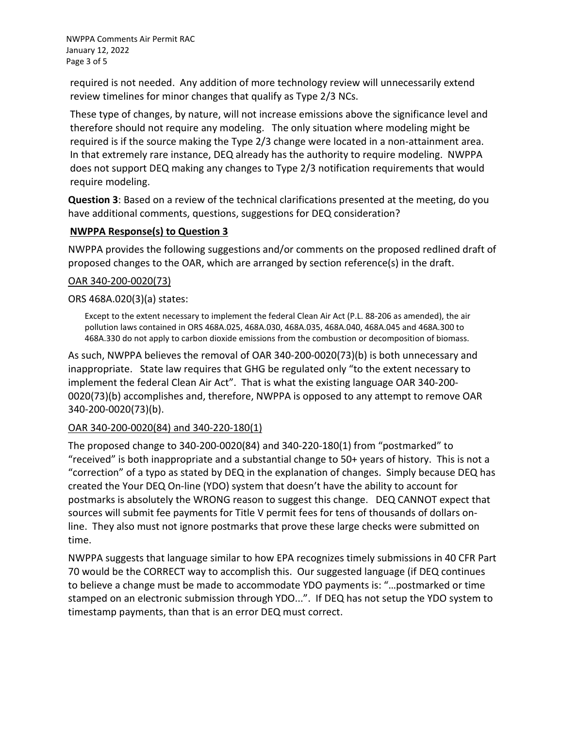NWPPA Comments Air Permit RAC January 12, 2022 Page 3 of 5

required is not needed. Any addition of more technology review will unnecessarily extend review timelines for minor changes that qualify as Type 2/3 NCs.

These type of changes, by nature, will not increase emissions above the significance level and therefore should not require any modeling. The only situation where modeling might be required is if the source making the Type 2/3 change were located in a non-attainment area. In that extremely rare instance, DEQ already has the authority to require modeling. NWPPA does not support DEQ making any changes to Type 2/3 notification requirements that would require modeling.

**Question 3**: Based on a review of the technical clarifications presented at the meeting, do you have additional comments, questions, suggestions for DEQ consideration?

# **NWPPA Response(s) to Question 3**

NWPPA provides the following suggestions and/or comments on the proposed redlined draft of proposed changes to the OAR, which are arranged by section reference(s) in the draft.

# OAR 340-200-0020(73)

# ORS 468A.020(3)(a) states:

Except to the extent necessary to implement the federal Clean Air Act (P.L. 88-206 as amended), the air pollution laws contained in ORS 468A.025, 468A.030, 468A.035, 468A.040, 468A.045 and 468A.300 to 468A.330 do not apply to carbon dioxide emissions from the combustion or decomposition of biomass.

As such, NWPPA believes the removal of OAR 340-200-0020(73)(b) is both unnecessary and inappropriate. State law requires that GHG be regulated only "to the extent necessary to implement the federal Clean Air Act". That is what the existing language OAR 340-200- 0020(73)(b) accomplishes and, therefore, NWPPA is opposed to any attempt to remove OAR 340-200-0020(73)(b).

# OAR 340-200-0020(84) and 340-220-180(1)

The proposed change to 340-200-0020(84) and 340-220-180(1) from "postmarked" to "received" is both inappropriate and a substantial change to 50+ years of history. This is not a "correction" of a typo as stated by DEQ in the explanation of changes. Simply because DEQ has created the Your DEQ On-line (YDO) system that doesn't have the ability to account for postmarks is absolutely the WRONG reason to suggest this change. DEQ CANNOT expect that sources will submit fee payments for Title V permit fees for tens of thousands of dollars online. They also must not ignore postmarks that prove these large checks were submitted on time.

NWPPA suggests that language similar to how EPA recognizes timely submissions in 40 CFR Part 70 would be the CORRECT way to accomplish this. Our suggested language (if DEQ continues to believe a change must be made to accommodate YDO payments is: "…postmarked or time stamped on an electronic submission through YDO...". If DEQ has not setup the YDO system to timestamp payments, than that is an error DEQ must correct.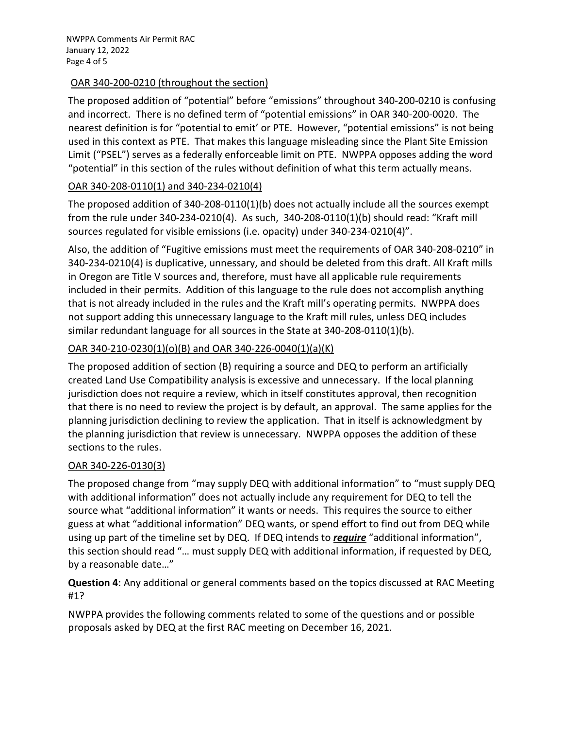NWPPA Comments Air Permit RAC January 12, 2022 Page 4 of 5

#### OAR 340-200-0210 (throughout the section)

The proposed addition of "potential" before "emissions" throughout 340-200-0210 is confusing and incorrect. There is no defined term of "potential emissions" in OAR 340-200-0020. The nearest definition is for "potential to emit' or PTE. However, "potential emissions" is not being used in this context as PTE. That makes this language misleading since the Plant Site Emission Limit ("PSEL") serves as a federally enforceable limit on PTE. NWPPA opposes adding the word "potential" in this section of the rules without definition of what this term actually means.

# OAR 340-208-0110(1) and 340-234-0210(4)

The proposed addition of 340-208-0110(1)(b) does not actually include all the sources exempt from the rule under 340-234-0210(4). As such, 340-208-0110(1)(b) should read: "Kraft mill sources regulated for visible emissions (i.e. opacity) under 340-234-0210(4)".

Also, the addition of "Fugitive emissions must meet the requirements of OAR 340-208-0210" in 340-234-0210(4) is duplicative, unnessary, and should be deleted from this draft. All Kraft mills in Oregon are Title V sources and, therefore, must have all applicable rule requirements included in their permits. Addition of this language to the rule does not accomplish anything that is not already included in the rules and the Kraft mill's operating permits. NWPPA does not support adding this unnecessary language to the Kraft mill rules, unless DEQ includes similar redundant language for all sources in the State at 340-208-0110(1)(b).

# OAR 340-210-0230(1)(o)(B) and OAR 340-226-0040(1)(a)(K)

The proposed addition of section (B) requiring a source and DEQ to perform an artificially created Land Use Compatibility analysis is excessive and unnecessary. If the local planning jurisdiction does not require a review, which in itself constitutes approval, then recognition that there is no need to review the project is by default, an approval. The same applies for the planning jurisdiction declining to review the application. That in itself is acknowledgment by the planning jurisdiction that review is unnecessary. NWPPA opposes the addition of these sections to the rules.

# OAR 340-226-0130(3)

The proposed change from "may supply DEQ with additional information" to "must supply DEQ with additional information" does not actually include any requirement for DEQ to tell the source what "additional information" it wants or needs. This requires the source to either guess at what "additional information" DEQ wants, or spend effort to find out from DEQ while using up part of the timeline set by DEQ. If DEQ intends to *require* "additional information", this section should read "… must supply DEQ with additional information, if requested by DEQ, by a reasonable date…"

**Question 4**: Any additional or general comments based on the topics discussed at RAC Meeting #1?

NWPPA provides the following comments related to some of the questions and or possible proposals asked by DEQ at the first RAC meeting on December 16, 2021.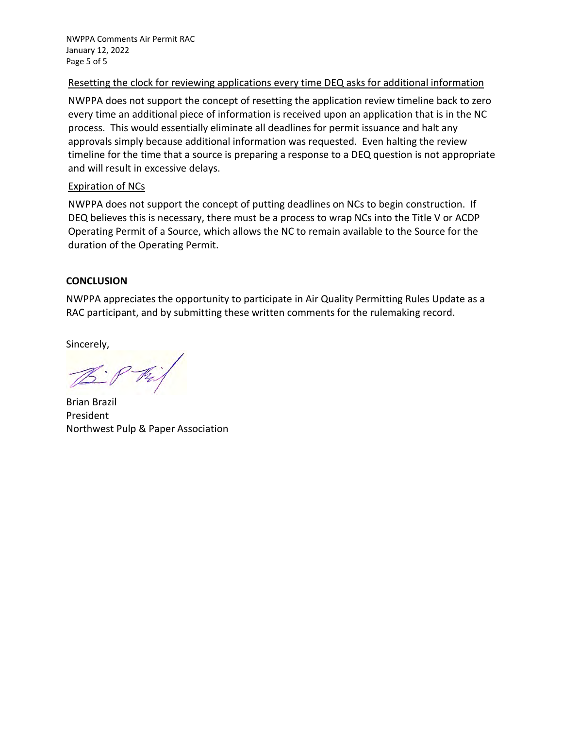NWPPA Comments Air Permit RAC January 12, 2022 Page 5 of 5

#### Resetting the clock for reviewing applications every time DEQ asks for additional information

NWPPA does not support the concept of resetting the application review timeline back to zero every time an additional piece of information is received upon an application that is in the NC process. This would essentially eliminate all deadlines for permit issuance and halt any approvals simply because additional information was requested. Even halting the review timeline for the time that a source is preparing a response to a DEQ question is not appropriate and will result in excessive delays.

#### Expiration of NCs

NWPPA does not support the concept of putting deadlines on NCs to begin construction. If DEQ believes this is necessary, there must be a process to wrap NCs into the Title V or ACDP Operating Permit of a Source, which allows the NC to remain available to the Source for the duration of the Operating Permit.

#### **CONCLUSION**

NWPPA appreciates the opportunity to participate in Air Quality Permitting Rules Update as a RAC participant, and by submitting these written comments for the rulemaking record.

Sincerely,

Brian Brazil President Northwest Pulp & Paper Association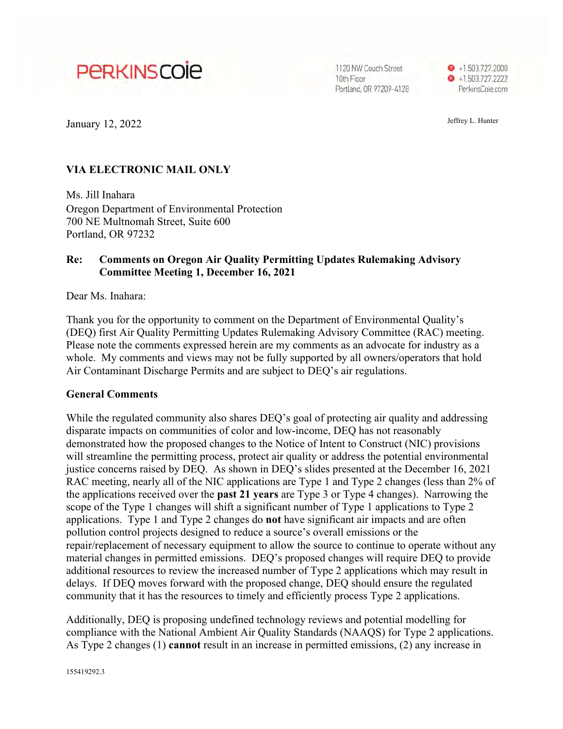# <span id="page-16-0"></span>**PERKINSCOIE**

1120 NW Couch Street 10th Floor Portland, OR 97209-4128



January 12, 2022 Jeffrey L. Hunter

#### **VIA ELECTRONIC MAIL ONLY**

Ms. Jill Inahara Oregon Department of Environmental Protection 700 NE Multnomah Street, Suite 600 Portland, OR 97232

#### **Re: Comments on Oregon Air Quality Permitting Updates Rulemaking Advisory Committee Meeting 1, December 16, 2021**

Dear Ms. Inahara:

Thank you for the opportunity to comment on the Department of Environmental Quality's (DEQ) first Air Quality Permitting Updates Rulemaking Advisory Committee (RAC) meeting. Please note the comments expressed herein are my comments as an advocate for industry as a whole. My comments and views may not be fully supported by all owners/operators that hold Air Contaminant Discharge Permits and are subject to DEQ's air regulations.

#### **General Comments**

While the regulated community also shares DEQ's goal of protecting air quality and addressing disparate impacts on communities of color and low-income, DEQ has not reasonably demonstrated how the proposed changes to the Notice of Intent to Construct (NIC) provisions will streamline the permitting process, protect air quality or address the potential environmental justice concerns raised by DEQ. As shown in DEQ's slides presented at the December 16, 2021 RAC meeting, nearly all of the NIC applications are Type 1 and Type 2 changes (less than 2% of the applications received over the **past 21 years** are Type 3 or Type 4 changes). Narrowing the scope of the Type 1 changes will shift a significant number of Type 1 applications to Type 2 applications. Type 1 and Type 2 changes do **not** have significant air impacts and are often pollution control projects designed to reduce a source's overall emissions or the repair/replacement of necessary equipment to allow the source to continue to operate without any material changes in permitted emissions. DEQ's proposed changes will require DEQ to provide additional resources to review the increased number of Type 2 applications which may result in delays. If DEQ moves forward with the proposed change, DEQ should ensure the regulated community that it has the resources to timely and efficiently process Type 2 applications.

Additionally, DEQ is proposing undefined technology reviews and potential modelling for compliance with the National Ambient Air Quality Standards (NAAQS) for Type 2 applications. As Type 2 changes (1) **cannot** result in an increase in permitted emissions, (2) any increase in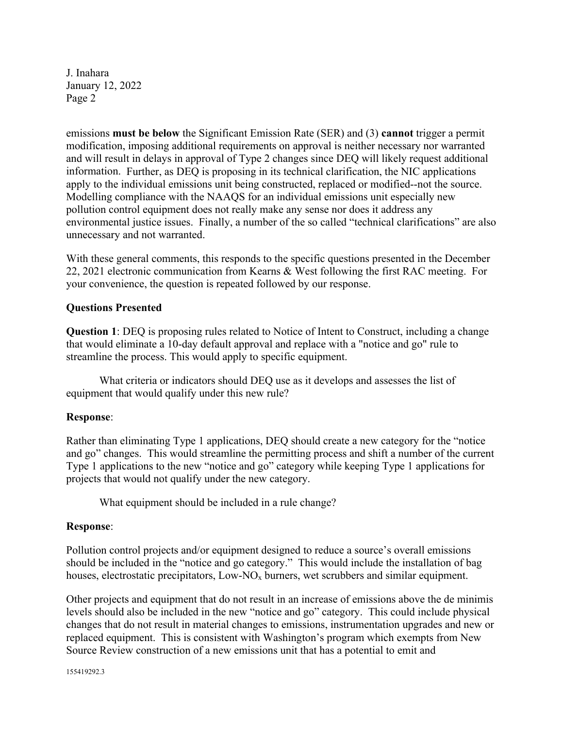emissions **must be below** the Significant Emission Rate (SER) and (3) **cannot** trigger a permit modification, imposing additional requirements on approval is neither necessary nor warranted and will result in delays in approval of Type 2 changes since DEQ will likely request additional information. Further, as DEQ is proposing in its technical clarification, the NIC applications apply to the individual emissions unit being constructed, replaced or modified--not the source. Modelling compliance with the NAAQS for an individual emissions unit especially new pollution control equipment does not really make any sense nor does it address any environmental justice issues. Finally, a number of the so called "technical clarifications" are also unnecessary and not warranted.

With these general comments, this responds to the specific questions presented in the December 22, 2021 electronic communication from Kearns & West following the first RAC meeting. For your convenience, the question is repeated followed by our response.

#### **Questions Presented**

**Question 1**: DEQ is proposing rules related to Notice of Intent to Construct, including a change that would eliminate a 10-day default approval and replace with a "notice and go" rule to streamline the process. This would apply to specific equipment.

What criteria or indicators should DEQ use as it develops and assesses the list of equipment that would qualify under this new rule?

#### **Response**:

Rather than eliminating Type 1 applications, DEQ should create a new category for the "notice and go" changes. This would streamline the permitting process and shift a number of the current Type 1 applications to the new "notice and go" category while keeping Type 1 applications for projects that would not qualify under the new category.

What equipment should be included in a rule change?

#### **Response**:

Pollution control projects and/or equipment designed to reduce a source's overall emissions should be included in the "notice and go category." This would include the installation of bag houses, electrostatic precipitators,  $Low-NO<sub>x</sub>$  burners, wet scrubbers and similar equipment.

Other projects and equipment that do not result in an increase of emissions above the de minimis levels should also be included in the new "notice and go" category. This could include physical changes that do not result in material changes to emissions, instrumentation upgrades and new or replaced equipment. This is consistent with Washington's program which exempts from New Source Review construction of a new emissions unit that has a potential to emit and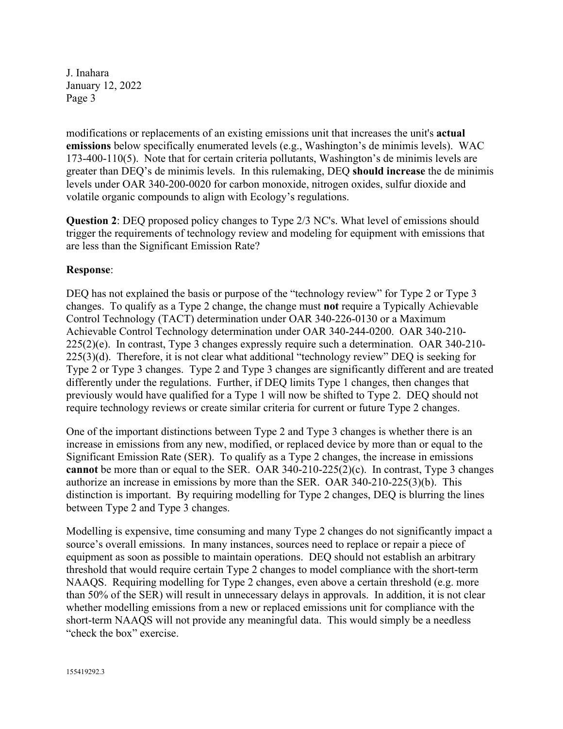modifications or replacements of an existing emissions unit that increases the unit's **actual emissions** below specifically enumerated levels (e.g., Washington's de minimis levels). WAC 173-400-110(5). Note that for certain criteria pollutants, Washington's de minimis levels are greater than DEQ's de minimis levels. In this rulemaking, DEQ **should increase** the de minimis levels under OAR 340-200-0020 for carbon monoxide, nitrogen oxides, sulfur dioxide and volatile organic compounds to align with Ecology's regulations.

**Question 2**: DEQ proposed policy changes to Type 2/3 NC's. What level of emissions should trigger the requirements of technology review and modeling for equipment with emissions that are less than the Significant Emission Rate?

#### **Response**:

DEQ has not explained the basis or purpose of the "technology review" for Type 2 or Type 3 changes. To qualify as a Type 2 change, the change must **not** require a Typically Achievable Control Technology (TACT) determination under OAR 340-226-0130 or a Maximum Achievable Control Technology determination under OAR 340-244-0200. OAR 340-210- 225(2)(e). In contrast, Type 3 changes expressly require such a determination. OAR 340-210- 225(3)(d). Therefore, it is not clear what additional "technology review" DEQ is seeking for Type 2 or Type 3 changes. Type 2 and Type 3 changes are significantly different and are treated differently under the regulations. Further, if DEQ limits Type 1 changes, then changes that previously would have qualified for a Type 1 will now be shifted to Type 2. DEQ should not require technology reviews or create similar criteria for current or future Type 2 changes.

One of the important distinctions between Type 2 and Type 3 changes is whether there is an increase in emissions from any new, modified, or replaced device by more than or equal to the Significant Emission Rate (SER). To qualify as a Type 2 changes, the increase in emissions **cannot** be more than or equal to the SER. OAR 340-210-225(2)(c). In contrast, Type 3 changes authorize an increase in emissions by more than the SER. OAR 340-210-225(3)(b). This distinction is important. By requiring modelling for Type 2 changes, DEQ is blurring the lines between Type 2 and Type 3 changes.

Modelling is expensive, time consuming and many Type 2 changes do not significantly impact a source's overall emissions. In many instances, sources need to replace or repair a piece of equipment as soon as possible to maintain operations. DEQ should not establish an arbitrary threshold that would require certain Type 2 changes to model compliance with the short-term NAAQS. Requiring modelling for Type 2 changes, even above a certain threshold (e.g. more than 50% of the SER) will result in unnecessary delays in approvals. In addition, it is not clear whether modelling emissions from a new or replaced emissions unit for compliance with the short-term NAAQS will not provide any meaningful data. This would simply be a needless "check the box" exercise.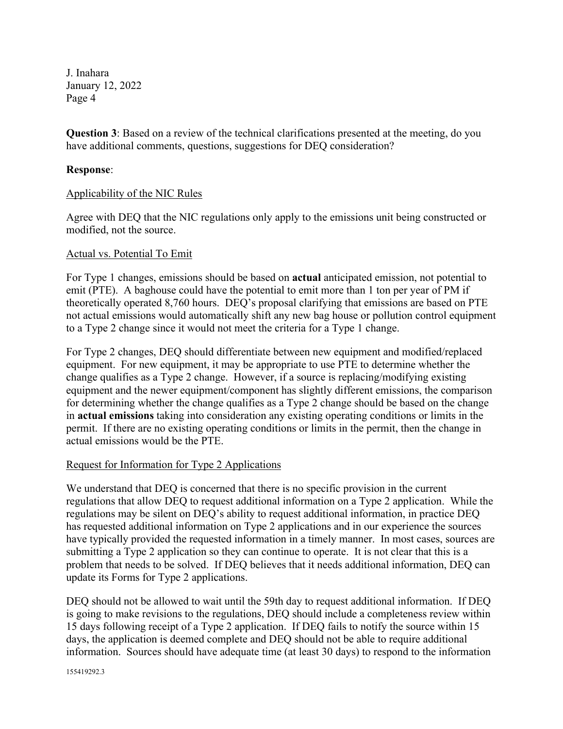**Question 3**: Based on a review of the technical clarifications presented at the meeting, do you have additional comments, questions, suggestions for DEQ consideration?

#### **Response**:

#### Applicability of the NIC Rules

Agree with DEQ that the NIC regulations only apply to the emissions unit being constructed or modified, not the source.

#### Actual vs. Potential To Emit

For Type 1 changes, emissions should be based on **actual** anticipated emission, not potential to emit (PTE). A baghouse could have the potential to emit more than 1 ton per year of PM if theoretically operated 8,760 hours. DEQ's proposal clarifying that emissions are based on PTE not actual emissions would automatically shift any new bag house or pollution control equipment to a Type 2 change since it would not meet the criteria for a Type 1 change.

For Type 2 changes, DEQ should differentiate between new equipment and modified/replaced equipment. For new equipment, it may be appropriate to use PTE to determine whether the change qualifies as a Type 2 change. However, if a source is replacing/modifying existing equipment and the newer equipment/component has slightly different emissions, the comparison for determining whether the change qualifies as a Type 2 change should be based on the change in **actual emissions** taking into consideration any existing operating conditions or limits in the permit. If there are no existing operating conditions or limits in the permit, then the change in actual emissions would be the PTE.

#### Request for Information for Type 2 Applications

We understand that DEQ is concerned that there is no specific provision in the current regulations that allow DEQ to request additional information on a Type 2 application. While the regulations may be silent on DEQ's ability to request additional information, in practice DEQ has requested additional information on Type 2 applications and in our experience the sources have typically provided the requested information in a timely manner. In most cases, sources are submitting a Type 2 application so they can continue to operate. It is not clear that this is a problem that needs to be solved. If DEQ believes that it needs additional information, DEQ can update its Forms for Type 2 applications.

DEQ should not be allowed to wait until the 59th day to request additional information. If DEQ is going to make revisions to the regulations, DEQ should include a completeness review within 15 days following receipt of a Type 2 application. If DEQ fails to notify the source within 15 days, the application is deemed complete and DEQ should not be able to require additional information. Sources should have adequate time (at least 30 days) to respond to the information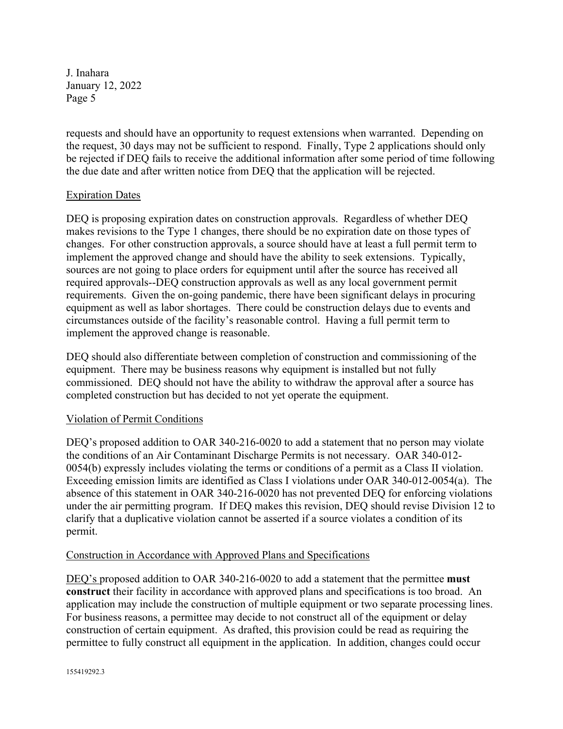requests and should have an opportunity to request extensions when warranted. Depending on the request, 30 days may not be sufficient to respond. Finally, Type 2 applications should only be rejected if DEQ fails to receive the additional information after some period of time following the due date and after written notice from DEQ that the application will be rejected.

#### **Expiration Dates**

DEQ is proposing expiration dates on construction approvals. Regardless of whether DEQ makes revisions to the Type 1 changes, there should be no expiration date on those types of changes. For other construction approvals, a source should have at least a full permit term to implement the approved change and should have the ability to seek extensions. Typically, sources are not going to place orders for equipment until after the source has received all required approvals--DEQ construction approvals as well as any local government permit requirements. Given the on-going pandemic, there have been significant delays in procuring equipment as well as labor shortages. There could be construction delays due to events and circumstances outside of the facility's reasonable control. Having a full permit term to implement the approved change is reasonable.

DEQ should also differentiate between completion of construction and commissioning of the equipment. There may be business reasons why equipment is installed but not fully commissioned. DEQ should not have the ability to withdraw the approval after a source has completed construction but has decided to not yet operate the equipment.

#### Violation of Permit Conditions

DEQ's proposed addition to OAR 340-216-0020 to add a statement that no person may violate the conditions of an Air Contaminant Discharge Permits is not necessary. OAR 340-012- 0054(b) expressly includes violating the terms or conditions of a permit as a Class II violation. Exceeding emission limits are identified as Class I violations under OAR 340-012-0054(a). The absence of this statement in OAR 340-216-0020 has not prevented DEQ for enforcing violations under the air permitting program. If DEQ makes this revision, DEQ should revise Division 12 to clarify that a duplicative violation cannot be asserted if a source violates a condition of its permit.

#### Construction in Accordance with Approved Plans and Specifications

DEQ's proposed addition to OAR 340-216-0020 to add a statement that the permittee **must construct** their facility in accordance with approved plans and specifications is too broad. An application may include the construction of multiple equipment or two separate processing lines. For business reasons, a permittee may decide to not construct all of the equipment or delay construction of certain equipment. As drafted, this provision could be read as requiring the permittee to fully construct all equipment in the application. In addition, changes could occur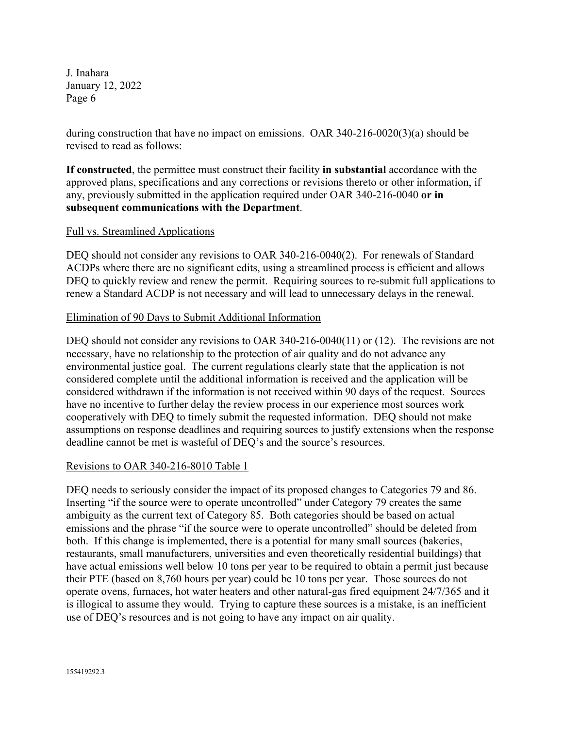during construction that have no impact on emissions. OAR 340-216-0020(3)(a) should be revised to read as follows:

**If constructed**, the permittee must construct their facility **in substantial** accordance with the approved plans, specifications and any corrections or revisions thereto or other information, if any, previously submitted in the application required under OAR 340-216-0040 **or in subsequent communications with the Department**.

#### Full vs. Streamlined Applications

DEQ should not consider any revisions to OAR 340-216-0040(2). For renewals of Standard ACDPs where there are no significant edits, using a streamlined process is efficient and allows DEQ to quickly review and renew the permit. Requiring sources to re-submit full applications to renew a Standard ACDP is not necessary and will lead to unnecessary delays in the renewal.

#### Elimination of 90 Days to Submit Additional Information

DEQ should not consider any revisions to OAR 340-216-0040(11) or (12). The revisions are not necessary, have no relationship to the protection of air quality and do not advance any environmental justice goal. The current regulations clearly state that the application is not considered complete until the additional information is received and the application will be considered withdrawn if the information is not received within 90 days of the request. Sources have no incentive to further delay the review process in our experience most sources work cooperatively with DEQ to timely submit the requested information. DEQ should not make assumptions on response deadlines and requiring sources to justify extensions when the response deadline cannot be met is wasteful of DEQ's and the source's resources.

#### Revisions to OAR 340-216-8010 Table 1

DEQ needs to seriously consider the impact of its proposed changes to Categories 79 and 86. Inserting "if the source were to operate uncontrolled" under Category 79 creates the same ambiguity as the current text of Category 85. Both categories should be based on actual emissions and the phrase "if the source were to operate uncontrolled" should be deleted from both. If this change is implemented, there is a potential for many small sources (bakeries, restaurants, small manufacturers, universities and even theoretically residential buildings) that have actual emissions well below 10 tons per year to be required to obtain a permit just because their PTE (based on 8,760 hours per year) could be 10 tons per year. Those sources do not operate ovens, furnaces, hot water heaters and other natural-gas fired equipment 24/7/365 and it is illogical to assume they would. Trying to capture these sources is a mistake, is an inefficient use of DEQ's resources and is not going to have any impact on air quality.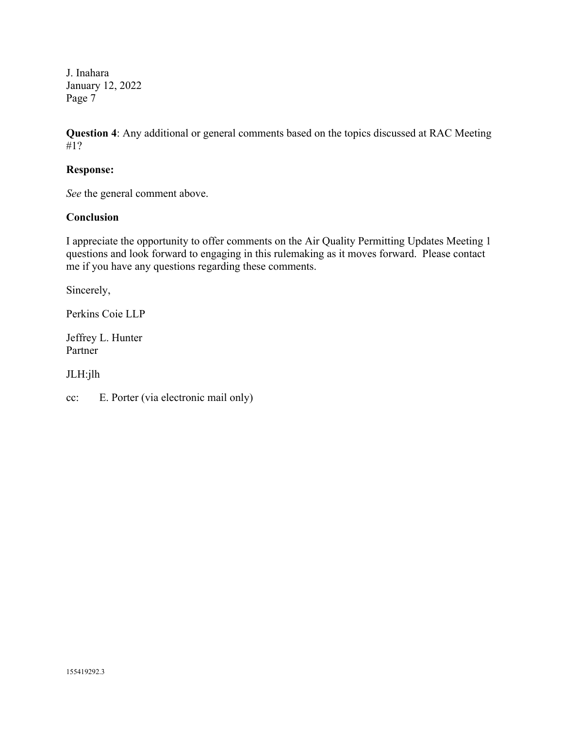**Question 4**: Any additional or general comments based on the topics discussed at RAC Meeting #1?

#### **Response:**

*See* the general comment above.

#### **Conclusion**

I appreciate the opportunity to offer comments on the Air Quality Permitting Updates Meeting 1 questions and look forward to engaging in this rulemaking as it moves forward. Please contact me if you have any questions regarding these comments.

Sincerely,

Perkins Coie LLP

Jeffrey L. Hunter Partner

JLH:jlh

cc: E. Porter (via electronic mail only)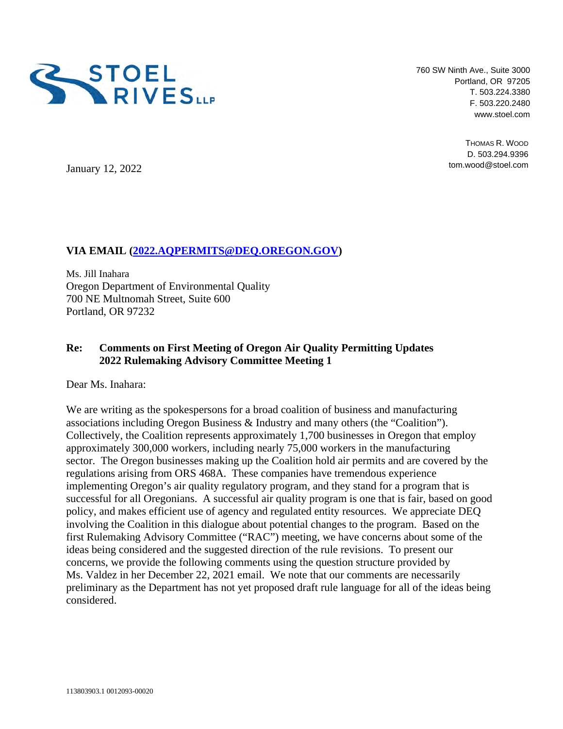<span id="page-23-0"></span>

760 SW Ninth Ave., Suite 3000 Portland, OR 97205 T. 503.224.3380 F. 503.220.2480 www.stoel.com

> THOMAS R. WOOD D. 503.294.9396 tom.wood@stoel.com

January 12, 2022

#### **VIA EMAIL (2022.AQPERMITS@DEQ.OREGON.GOV)**

Ms. Jill Inahara Oregon Department of Environmental Quality 700 NE Multnomah Street, Suite 600 Portland, OR 97232

#### **Re: Comments on First Meeting of Oregon Air Quality Permitting Updates 2022 Rulemaking Advisory Committee Meeting 1**

Dear Ms. Inahara:

We are writing as the spokespersons for a broad coalition of business and manufacturing associations including Oregon Business & Industry and many others (the "Coalition"). Collectively, the Coalition represents approximately 1,700 businesses in Oregon that employ approximately 300,000 workers, including nearly 75,000 workers in the manufacturing sector. The Oregon businesses making up the Coalition hold air permits and are covered by the regulations arising from ORS 468A. These companies have tremendous experience implementing Oregon's air quality regulatory program, and they stand for a program that is successful for all Oregonians. A successful air quality program is one that is fair, based on good policy, and makes efficient use of agency and regulated entity resources. We appreciate DEQ involving the Coalition in this dialogue about potential changes to the program. Based on the first Rulemaking Advisory Committee ("RAC") meeting, we have concerns about some of the ideas being considered and the suggested direction of the rule revisions. To present our concerns, we provide the following comments using the question structure provided by Ms. Valdez in her December 22, 2021 email. We note that our comments are necessarily preliminary as the Department has not yet proposed draft rule language for all of the ideas being considered.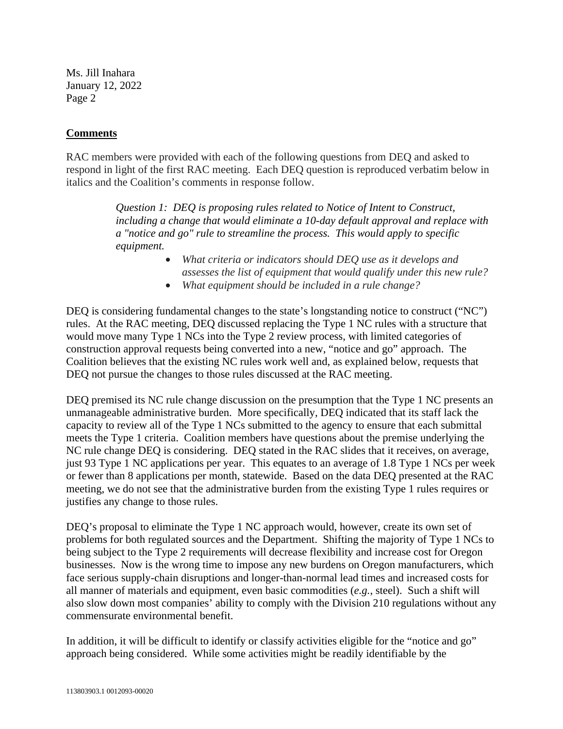#### **Comments**

RAC members were provided with each of the following questions from DEQ and asked to respond in light of the first RAC meeting. Each DEQ question is reproduced verbatim below in italics and the Coalition's comments in response follow.

> *Question 1: DEQ is proposing rules related to Notice of Intent to Construct, including a change that would eliminate a 10-day default approval and replace with a "notice and go" rule to streamline the process. This would apply to specific equipment.*

- *What criteria or indicators should DEQ use as it develops and assesses the list of equipment that would qualify under this new rule?*
- *What equipment should be included in a rule change?*

DEQ is considering fundamental changes to the state's longstanding notice to construct ("NC") rules. At the RAC meeting, DEQ discussed replacing the Type 1 NC rules with a structure that would move many Type 1 NCs into the Type 2 review process, with limited categories of construction approval requests being converted into a new, "notice and go" approach. The Coalition believes that the existing NC rules work well and, as explained below, requests that DEQ not pursue the changes to those rules discussed at the RAC meeting.

DEQ premised its NC rule change discussion on the presumption that the Type 1 NC presents an unmanageable administrative burden. More specifically, DEQ indicated that its staff lack the capacity to review all of the Type 1 NCs submitted to the agency to ensure that each submittal meets the Type 1 criteria. Coalition members have questions about the premise underlying the NC rule change DEQ is considering. DEQ stated in the RAC slides that it receives, on average, just 93 Type 1 NC applications per year. This equates to an average of 1.8 Type 1 NCs per week or fewer than 8 applications per month, statewide. Based on the data DEQ presented at the RAC meeting, we do not see that the administrative burden from the existing Type 1 rules requires or justifies any change to those rules.

DEQ's proposal to eliminate the Type 1 NC approach would, however, create its own set of problems for both regulated sources and the Department. Shifting the majority of Type 1 NCs to being subject to the Type 2 requirements will decrease flexibility and increase cost for Oregon businesses. Now is the wrong time to impose any new burdens on Oregon manufacturers, which face serious supply-chain disruptions and longer-than-normal lead times and increased costs for all manner of materials and equipment, even basic commodities (*e.g.*, steel). Such a shift will also slow down most companies' ability to comply with the Division 210 regulations without any commensurate environmental benefit.

In addition, it will be difficult to identify or classify activities eligible for the "notice and go" approach being considered. While some activities might be readily identifiable by the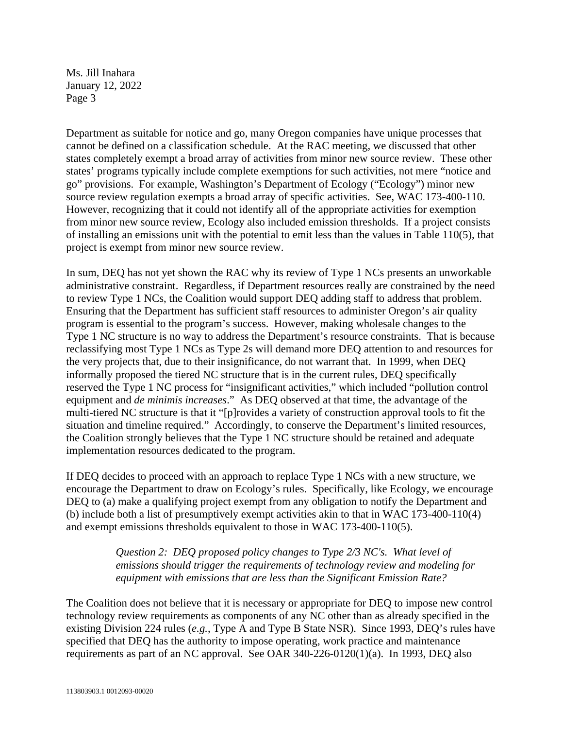Department as suitable for notice and go, many Oregon companies have unique processes that cannot be defined on a classification schedule. At the RAC meeting, we discussed that other states completely exempt a broad array of activities from minor new source review. These other states' programs typically include complete exemptions for such activities, not mere "notice and go" provisions. For example, Washington's Department of Ecology ("Ecology") minor new source review regulation exempts a broad array of specific activities. See, WAC 173-400-110. However, recognizing that it could not identify all of the appropriate activities for exemption from minor new source review, Ecology also included emission thresholds. If a project consists of installing an emissions unit with the potential to emit less than the values in Table 110(5), that project is exempt from minor new source review.

In sum, DEQ has not yet shown the RAC why its review of Type 1 NCs presents an unworkable administrative constraint. Regardless, if Department resources really are constrained by the need to review Type 1 NCs, the Coalition would support DEQ adding staff to address that problem. Ensuring that the Department has sufficient staff resources to administer Oregon's air quality program is essential to the program's success. However, making wholesale changes to the Type 1 NC structure is no way to address the Department's resource constraints. That is because reclassifying most Type 1 NCs as Type 2s will demand more DEQ attention to and resources for the very projects that, due to their insignificance, do not warrant that. In 1999, when DEQ informally proposed the tiered NC structure that is in the current rules, DEQ specifically reserved the Type 1 NC process for "insignificant activities," which included "pollution control equipment and *de minimis increases*." As DEQ observed at that time, the advantage of the multi-tiered NC structure is that it "[p]rovides a variety of construction approval tools to fit the situation and timeline required." Accordingly, to conserve the Department's limited resources, the Coalition strongly believes that the Type 1 NC structure should be retained and adequate implementation resources dedicated to the program.

If DEQ decides to proceed with an approach to replace Type 1 NCs with a new structure, we encourage the Department to draw on Ecology's rules. Specifically, like Ecology, we encourage DEQ to (a) make a qualifying project exempt from any obligation to notify the Department and (b) include both a list of presumptively exempt activities akin to that in WAC 173-400-110(4) and exempt emissions thresholds equivalent to those in WAC 173-400-110(5).

> *Question 2: DEQ proposed policy changes to Type 2/3 NC's. What level of emissions should trigger the requirements of technology review and modeling for equipment with emissions that are less than the Significant Emission Rate?*

The Coalition does not believe that it is necessary or appropriate for DEQ to impose new control technology review requirements as components of any NC other than as already specified in the existing Division 224 rules (*e.g.*, Type A and Type B State NSR). Since 1993, DEQ's rules have specified that DEQ has the authority to impose operating, work practice and maintenance requirements as part of an NC approval. See OAR 340-226-0120(1)(a). In 1993, DEQ also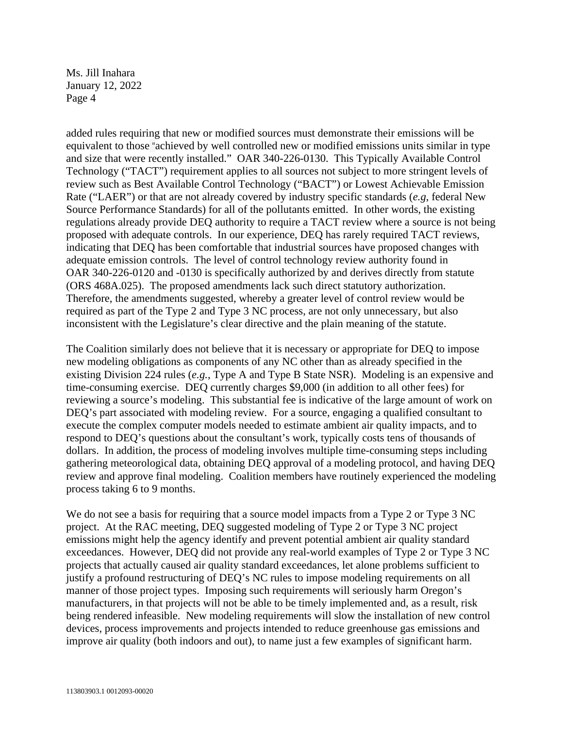added rules requiring that new or modified sources must demonstrate their emissions will be equivalent to those "achieved by well controlled new or modified emissions units similar in type and size that were recently installed." OAR 340-226-0130. This Typically Available Control Technology ("TACT") requirement applies to all sources not subject to more stringent levels of review such as Best Available Control Technology ("BACT") or Lowest Achievable Emission Rate ("LAER") or that are not already covered by industry specific standards (*e.g*, federal New Source Performance Standards) for all of the pollutants emitted. In other words, the existing regulations already provide DEQ authority to require a TACT review where a source is not being proposed with adequate controls. In our experience, DEQ has rarely required TACT reviews, indicating that DEQ has been comfortable that industrial sources have proposed changes with adequate emission controls. The level of control technology review authority found in OAR 340-226-0120 and -0130 is specifically authorized by and derives directly from statute (ORS 468A.025). The proposed amendments lack such direct statutory authorization. Therefore, the amendments suggested, whereby a greater level of control review would be required as part of the Type 2 and Type 3 NC process, are not only unnecessary, but also inconsistent with the Legislature's clear directive and the plain meaning of the statute.

The Coalition similarly does not believe that it is necessary or appropriate for DEQ to impose new modeling obligations as components of any NC other than as already specified in the existing Division 224 rules (*e.g.*, Type A and Type B State NSR). Modeling is an expensive and time-consuming exercise. DEQ currently charges \$9,000 (in addition to all other fees) for reviewing a source's modeling. This substantial fee is indicative of the large amount of work on DEQ's part associated with modeling review. For a source, engaging a qualified consultant to execute the complex computer models needed to estimate ambient air quality impacts, and to respond to DEQ's questions about the consultant's work, typically costs tens of thousands of dollars. In addition, the process of modeling involves multiple time-consuming steps including gathering meteorological data, obtaining DEQ approval of a modeling protocol, and having DEQ review and approve final modeling. Coalition members have routinely experienced the modeling process taking 6 to 9 months.

We do not see a basis for requiring that a source model impacts from a Type 2 or Type 3 NC project. At the RAC meeting, DEQ suggested modeling of Type 2 or Type 3 NC project emissions might help the agency identify and prevent potential ambient air quality standard exceedances. However, DEQ did not provide any real-world examples of Type 2 or Type 3 NC projects that actually caused air quality standard exceedances, let alone problems sufficient to justify a profound restructuring of DEQ's NC rules to impose modeling requirements on all manner of those project types. Imposing such requirements will seriously harm Oregon's manufacturers, in that projects will not be able to be timely implemented and, as a result, risk being rendered infeasible. New modeling requirements will slow the installation of new control devices, process improvements and projects intended to reduce greenhouse gas emissions and improve air quality (both indoors and out), to name just a few examples of significant harm.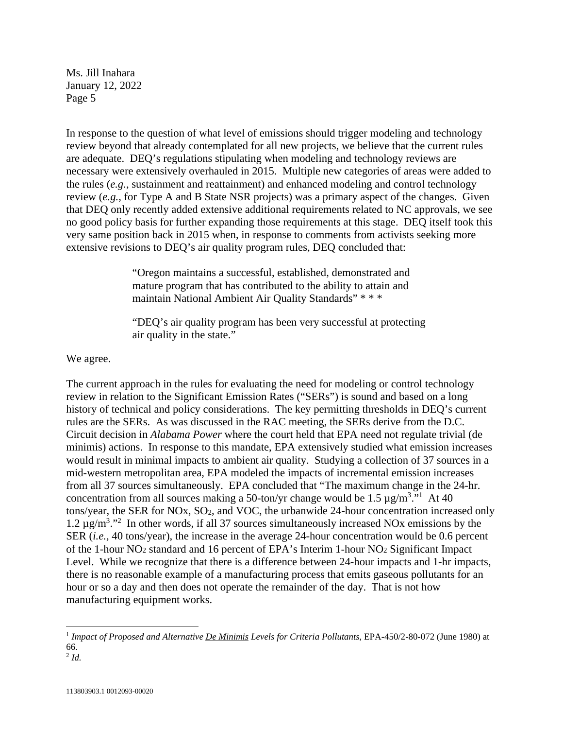In response to the question of what level of emissions should trigger modeling and technology review beyond that already contemplated for all new projects, we believe that the current rules are adequate. DEQ's regulations stipulating when modeling and technology reviews are necessary were extensively overhauled in 2015. Multiple new categories of areas were added to the rules (*e.g.*, sustainment and reattainment) and enhanced modeling and control technology review (*e.g.*, for Type A and B State NSR projects) was a primary aspect of the changes. Given that DEQ only recently added extensive additional requirements related to NC approvals, we see no good policy basis for further expanding those requirements at this stage. DEQ itself took this very same position back in 2015 when, in response to comments from activists seeking more extensive revisions to DEQ's air quality program rules, DEQ concluded that:

> "Oregon maintains a successful, established, demonstrated and mature program that has contributed to the ability to attain and maintain National Ambient Air Quality Standards" \* \* \*

"DEQ's air quality program has been very successful at protecting air quality in the state."

We agree.

The current approach in the rules for evaluating the need for modeling or control technology review in relation to the Significant Emission Rates ("SERs") is sound and based on a long history of technical and policy considerations. The key permitting thresholds in DEQ's current rules are the SERs. As was discussed in the RAC meeting, the SERs derive from the D.C. Circuit decision in *Alabama Power* where the court held that EPA need not regulate trivial (de minimis) actions. In response to this mandate, EPA extensively studied what emission increases would result in minimal impacts to ambient air quality. Studying a collection of 37 sources in a mid-western metropolitan area, EPA modeled the impacts of incremental emission increases from all 37 sources simultaneously. EPA concluded that "The maximum change in the 24-hr. concentration from all sources making a 50-ton/yr change would be 1.5  $\mu$ g/m<sup>3</sup>."<sup>1</sup> At 40 tons/year, the SER for NOx, SO2, and VOC, the urbanwide 24-hour concentration increased only 1.2  $\mu$ g/m<sup>3</sup>."<sup>2</sup> In other words, if all 37 sources simultaneously increased NOx emissions by the SER (*i.e.*, 40 tons/year), the increase in the average 24-hour concentration would be 0.6 percent of the 1-hour NO2 standard and 16 percent of EPA's Interim 1‐hour NO2 Significant Impact Level. While we recognize that there is a difference between 24-hour impacts and 1-hr impacts, there is no reasonable example of a manufacturing process that emits gaseous pollutants for an hour or so a day and then does not operate the remainder of the day. That is not how manufacturing equipment works.

<sup>1</sup> *Impact of Proposed and Alternative De Minimis Levels for Criteria Pollutants*, EPA-450/2-80-072 (June 1980) at 66.

 $^{2}$  *Id.*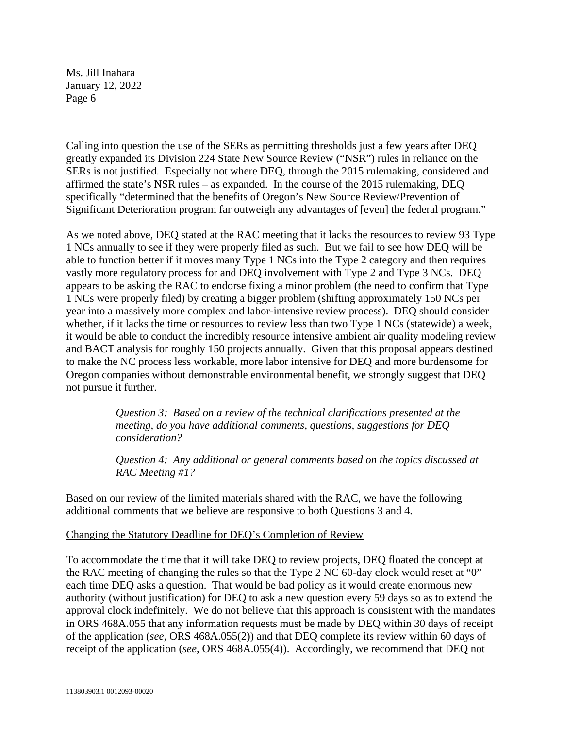Calling into question the use of the SERs as permitting thresholds just a few years after DEQ greatly expanded its Division 224 State New Source Review ("NSR") rules in reliance on the SERs is not justified. Especially not where DEQ, through the 2015 rulemaking, considered and affirmed the state's NSR rules – as expanded. In the course of the 2015 rulemaking, DEQ specifically "determined that the benefits of Oregon's New Source Review/Prevention of Significant Deterioration program far outweigh any advantages of [even] the federal program."

As we noted above, DEQ stated at the RAC meeting that it lacks the resources to review 93 Type 1 NCs annually to see if they were properly filed as such. But we fail to see how DEQ will be able to function better if it moves many Type 1 NCs into the Type 2 category and then requires vastly more regulatory process for and DEQ involvement with Type 2 and Type 3 NCs. DEQ appears to be asking the RAC to endorse fixing a minor problem (the need to confirm that Type 1 NCs were properly filed) by creating a bigger problem (shifting approximately 150 NCs per year into a massively more complex and labor-intensive review process). DEQ should consider whether, if it lacks the time or resources to review less than two Type 1 NCs (statewide) a week, it would be able to conduct the incredibly resource intensive ambient air quality modeling review and BACT analysis for roughly 150 projects annually. Given that this proposal appears destined to make the NC process less workable, more labor intensive for DEQ and more burdensome for Oregon companies without demonstrable environmental benefit, we strongly suggest that DEQ not pursue it further.

> *Question 3: Based on a review of the technical clarifications presented at the meeting, do you have additional comments, questions, suggestions for DEQ consideration?*

*Question 4: Any additional or general comments based on the topics discussed at RAC Meeting #1?* 

Based on our review of the limited materials shared with the RAC, we have the following additional comments that we believe are responsive to both Questions 3 and 4.

#### Changing the Statutory Deadline for DEQ's Completion of Review

To accommodate the time that it will take DEQ to review projects, DEQ floated the concept at the RAC meeting of changing the rules so that the Type 2 NC 60-day clock would reset at "0" each time DEQ asks a question. That would be bad policy as it would create enormous new authority (without justification) for DEQ to ask a new question every 59 days so as to extend the approval clock indefinitely. We do not believe that this approach is consistent with the mandates in ORS 468A.055 that any information requests must be made by DEQ within 30 days of receipt of the application (*see*, ORS 468A.055(2)) and that DEQ complete its review within 60 days of receipt of the application (*see*, ORS 468A.055(4)). Accordingly, we recommend that DEQ not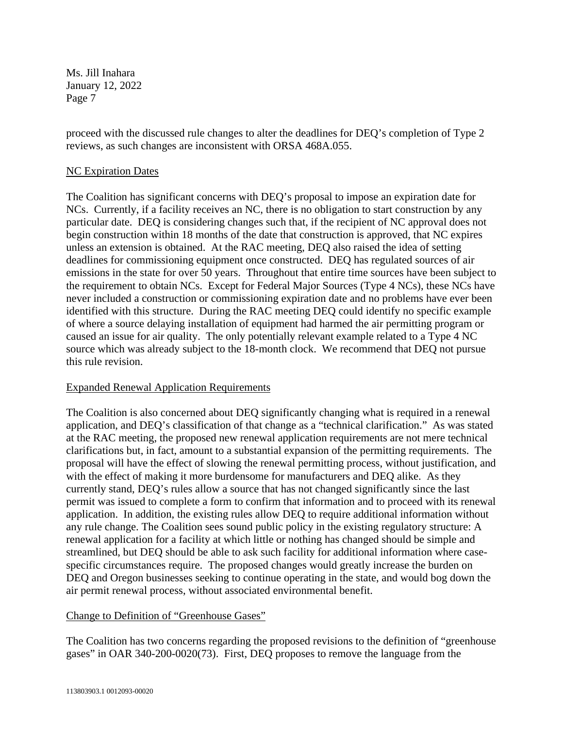proceed with the discussed rule changes to alter the deadlines for DEQ's completion of Type 2 reviews, as such changes are inconsistent with ORSA 468A.055.

#### NC Expiration Dates

The Coalition has significant concerns with DEQ's proposal to impose an expiration date for NCs. Currently, if a facility receives an NC, there is no obligation to start construction by any particular date. DEQ is considering changes such that, if the recipient of NC approval does not begin construction within 18 months of the date that construction is approved, that NC expires unless an extension is obtained. At the RAC meeting, DEQ also raised the idea of setting deadlines for commissioning equipment once constructed. DEQ has regulated sources of air emissions in the state for over 50 years. Throughout that entire time sources have been subject to the requirement to obtain NCs. Except for Federal Major Sources (Type 4 NCs), these NCs have never included a construction or commissioning expiration date and no problems have ever been identified with this structure. During the RAC meeting DEQ could identify no specific example of where a source delaying installation of equipment had harmed the air permitting program or caused an issue for air quality. The only potentially relevant example related to a Type 4 NC source which was already subject to the 18-month clock. We recommend that DEQ not pursue this rule revision.

#### Expanded Renewal Application Requirements

The Coalition is also concerned about DEQ significantly changing what is required in a renewal application, and DEQ's classification of that change as a "technical clarification." As was stated at the RAC meeting, the proposed new renewal application requirements are not mere technical clarifications but, in fact, amount to a substantial expansion of the permitting requirements. The proposal will have the effect of slowing the renewal permitting process, without justification, and with the effect of making it more burdensome for manufacturers and DEQ alike. As they currently stand, DEQ's rules allow a source that has not changed significantly since the last permit was issued to complete a form to confirm that information and to proceed with its renewal application. In addition, the existing rules allow DEQ to require additional information without any rule change. The Coalition sees sound public policy in the existing regulatory structure: A renewal application for a facility at which little or nothing has changed should be simple and streamlined, but DEQ should be able to ask such facility for additional information where casespecific circumstances require. The proposed changes would greatly increase the burden on DEQ and Oregon businesses seeking to continue operating in the state, and would bog down the air permit renewal process, without associated environmental benefit.

#### Change to Definition of "Greenhouse Gases"

The Coalition has two concerns regarding the proposed revisions to the definition of "greenhouse gases" in OAR 340-200-0020(73). First, DEQ proposes to remove the language from the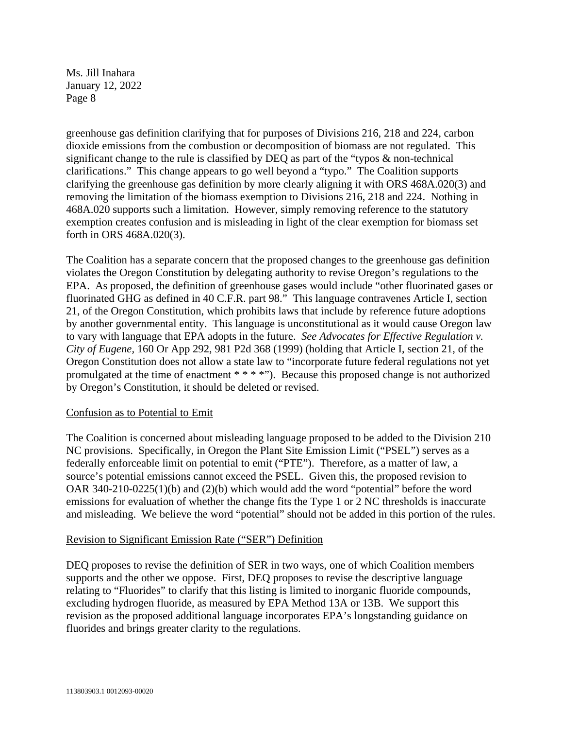greenhouse gas definition clarifying that for purposes of Divisions 216, 218 and 224, carbon dioxide emissions from the combustion or decomposition of biomass are not regulated. This significant change to the rule is classified by DEQ as part of the "typos & non-technical clarifications." This change appears to go well beyond a "typo." The Coalition supports clarifying the greenhouse gas definition by more clearly aligning it with ORS 468A.020(3) and removing the limitation of the biomass exemption to Divisions 216, 218 and 224. Nothing in 468A.020 supports such a limitation. However, simply removing reference to the statutory exemption creates confusion and is misleading in light of the clear exemption for biomass set forth in ORS 468A.020(3).

The Coalition has a separate concern that the proposed changes to the greenhouse gas definition violates the Oregon Constitution by delegating authority to revise Oregon's regulations to the EPA. As proposed, the definition of greenhouse gases would include "other fluorinated gases or fluorinated GHG as defined in 40 C.F.R. part 98." This language contravenes Article I, section 21, of the Oregon Constitution, which prohibits laws that include by reference future adoptions by another governmental entity. This language is unconstitutional as it would cause Oregon law to vary with language that EPA adopts in the future. *See Advocates for Effective Regulation v. City of Eugene,* 160 Or App 292, 981 P2d 368 (1999) (holding that Article I, section 21, of the Oregon Constitution does not allow a state law to "incorporate future federal regulations not yet promulgated at the time of enactment \* \* \* \*"). Because this proposed change is not authorized by Oregon's Constitution, it should be deleted or revised.

#### Confusion as to Potential to Emit

The Coalition is concerned about misleading language proposed to be added to the Division 210 NC provisions. Specifically, in Oregon the Plant Site Emission Limit ("PSEL") serves as a federally enforceable limit on potential to emit ("PTE"). Therefore, as a matter of law, a source's potential emissions cannot exceed the PSEL. Given this, the proposed revision to OAR 340-210-0225(1)(b) and (2)(b) which would add the word "potential" before the word emissions for evaluation of whether the change fits the Type 1 or 2 NC thresholds is inaccurate and misleading. We believe the word "potential" should not be added in this portion of the rules.

#### Revision to Significant Emission Rate ("SER") Definition

DEQ proposes to revise the definition of SER in two ways, one of which Coalition members supports and the other we oppose. First, DEQ proposes to revise the descriptive language relating to "Fluorides" to clarify that this listing is limited to inorganic fluoride compounds, excluding hydrogen fluoride, as measured by EPA Method 13A or 13B. We support this revision as the proposed additional language incorporates EPA's longstanding guidance on fluorides and brings greater clarity to the regulations.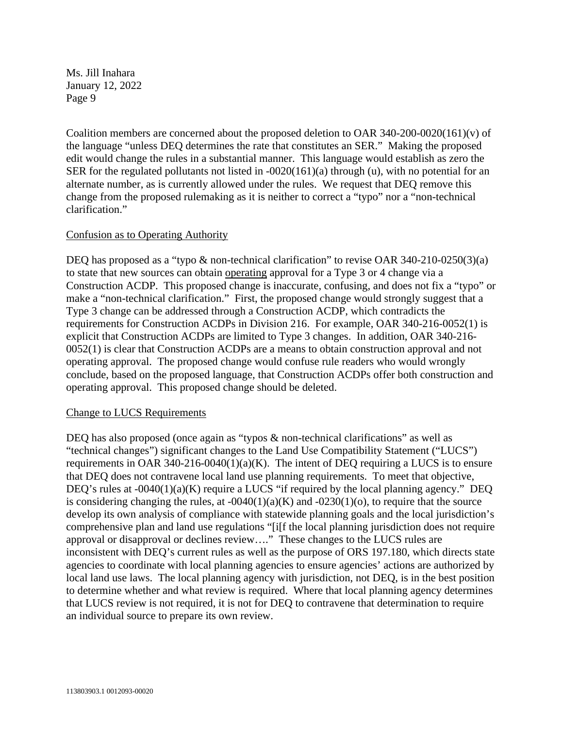Coalition members are concerned about the proposed deletion to OAR 340-200-0020(161)(v) of the language "unless DEQ determines the rate that constitutes an SER." Making the proposed edit would change the rules in a substantial manner. This language would establish as zero the SER for the regulated pollutants not listed in -0020(161)(a) through (u), with no potential for an alternate number, as is currently allowed under the rules. We request that DEQ remove this change from the proposed rulemaking as it is neither to correct a "typo" nor a "non-technical clarification."

#### Confusion as to Operating Authority

DEQ has proposed as a "typo & non-technical clarification" to revise OAR 340-210-0250(3)(a) to state that new sources can obtain operating approval for a Type 3 or 4 change via a Construction ACDP. This proposed change is inaccurate, confusing, and does not fix a "typo" or make a "non-technical clarification." First, the proposed change would strongly suggest that a Type 3 change can be addressed through a Construction ACDP, which contradicts the requirements for Construction ACDPs in Division 216. For example, OAR 340-216-0052(1) is explicit that Construction ACDPs are limited to Type 3 changes. In addition, OAR 340-216- 0052(1) is clear that Construction ACDPs are a means to obtain construction approval and not operating approval. The proposed change would confuse rule readers who would wrongly conclude, based on the proposed language, that Construction ACDPs offer both construction and operating approval. This proposed change should be deleted.

#### Change to LUCS Requirements

DEQ has also proposed (once again as "typos & non-technical clarifications" as well as "technical changes") significant changes to the Land Use Compatibility Statement ("LUCS") requirements in OAR 340-216-0040(1)(a)(K). The intent of DEQ requiring a LUCS is to ensure that DEQ does not contravene local land use planning requirements. To meet that objective, DEQ's rules at  $-0.040(1)(a)(K)$  require a LUCS "if required by the local planning agency." DEQ is considering changing the rules, at  $-0040(1)(a)(K)$  and  $-0230(1)(o)$ , to require that the source develop its own analysis of compliance with statewide planning goals and the local jurisdiction's comprehensive plan and land use regulations "[i[f the local planning jurisdiction does not require approval or disapproval or declines review...." These changes to the LUCS rules are inconsistent with DEQ's current rules as well as the purpose of ORS 197.180, which directs state agencies to coordinate with local planning agencies to ensure agencies' actions are authorized by local land use laws. The local planning agency with jurisdiction, not DEQ, is in the best position to determine whether and what review is required. Where that local planning agency determines that LUCS review is not required, it is not for DEQ to contravene that determination to require an individual source to prepare its own review.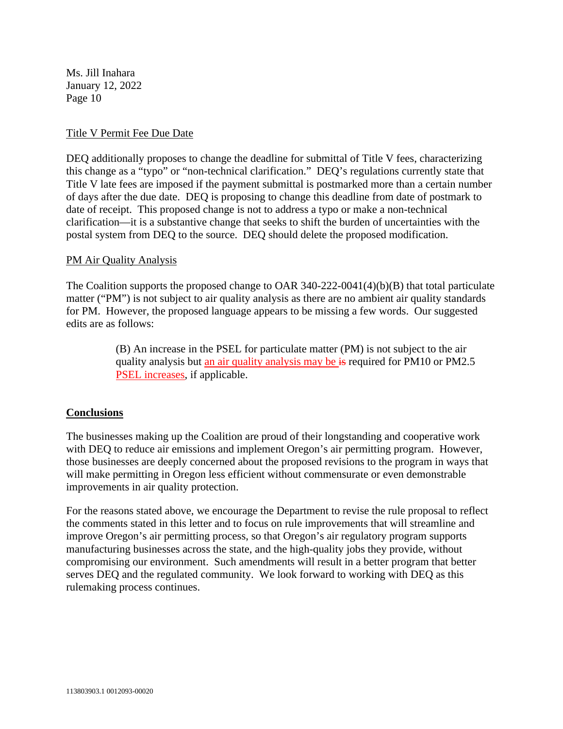#### Title V Permit Fee Due Date

DEQ additionally proposes to change the deadline for submittal of Title V fees, characterizing this change as a "typo" or "non-technical clarification." DEQ's regulations currently state that Title V late fees are imposed if the payment submittal is postmarked more than a certain number of days after the due date. DEQ is proposing to change this deadline from date of postmark to date of receipt. This proposed change is not to address a typo or make a non-technical clarification—it is a substantive change that seeks to shift the burden of uncertainties with the postal system from DEQ to the source. DEQ should delete the proposed modification.

#### PM Air Quality Analysis

The Coalition supports the proposed change to OAR 340-222-0041(4)(b)(B) that total particulate matter ("PM") is not subject to air quality analysis as there are no ambient air quality standards for PM. However, the proposed language appears to be missing a few words. Our suggested edits are as follows:

> (B) An increase in the PSEL for particulate matter (PM) is not subject to the air quality analysis but an air quality analysis may be is required for PM10 or PM2.5 PSEL increases, if applicable.

#### **Conclusions**

The businesses making up the Coalition are proud of their longstanding and cooperative work with DEQ to reduce air emissions and implement Oregon's air permitting program. However, those businesses are deeply concerned about the proposed revisions to the program in ways that will make permitting in Oregon less efficient without commensurate or even demonstrable improvements in air quality protection.

For the reasons stated above, we encourage the Department to revise the rule proposal to reflect the comments stated in this letter and to focus on rule improvements that will streamline and improve Oregon's air permitting process, so that Oregon's air regulatory program supports manufacturing businesses across the state, and the high-quality jobs they provide, without compromising our environment. Such amendments will result in a better program that better serves DEQ and the regulated community. We look forward to working with DEQ as this rulemaking process continues.